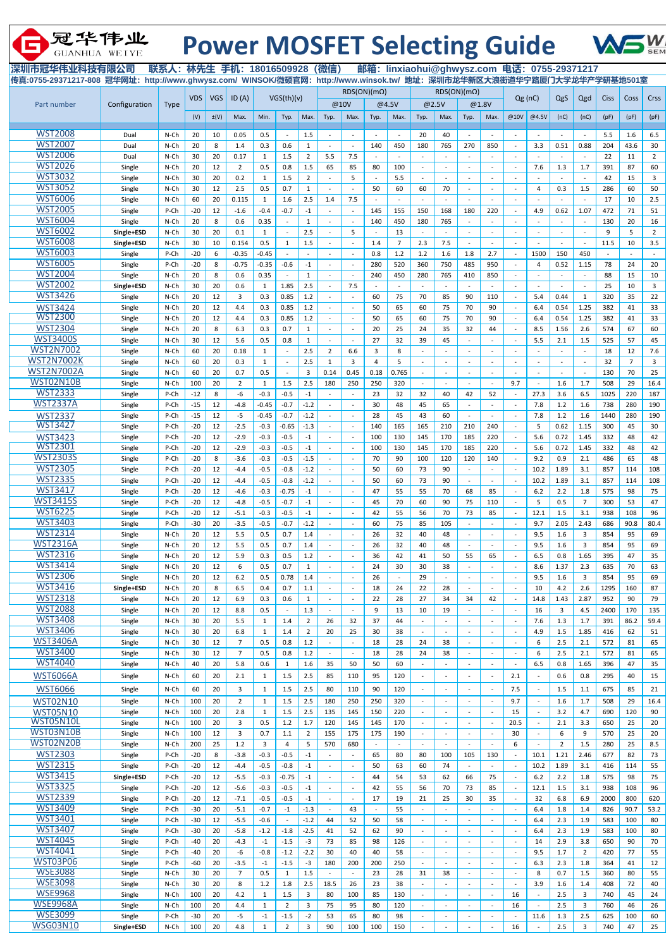| 冠华伟业<br>GUANHUA WEIYE                       |                          |                 |                |            | <b>Power MOSFET Selecting Guide</b>                                                                                          |                   |                   |                |                          |                          |                                |                      |                          |          |                          |        |                                                      |                          |                        |                          |             |                      |                       |
|---------------------------------------------|--------------------------|-----------------|----------------|------------|------------------------------------------------------------------------------------------------------------------------------|-------------------|-------------------|----------------|--------------------------|--------------------------|--------------------------------|----------------------|--------------------------|----------|--------------------------|--------|------------------------------------------------------|--------------------------|------------------------|--------------------------|-------------|----------------------|-----------------------|
| 深圳市冠华伟业科技有限公司<br>传真:0755-29371217-808 冠华网址: |                          |                 |                |            | 联系人: 林先生 手机: 18016509928 (微信)<br>http://www.ghwysz.com/ WINSOK/微硕官网: http://www.winsok.tw/ 地址: 深圳市龙华新区大浪街道华宁路厦门大学龙华产学研基地501室 |                   |                   |                |                          |                          |                                |                      |                          |          |                          |        | 邮箱: linxiaohui@ghwysz.com 电话: 0755-29371217          |                          |                        |                          |             |                      |                       |
|                                             |                          |                 |                |            |                                                                                                                              |                   |                   |                |                          |                          | $RDS(ON)(m\Omega)$             |                      |                          |          | $RDS(ON)(m\Omega)$       |        |                                                      |                          |                        |                          |             |                      |                       |
| Part number                                 | Configuration            | <b>Type</b>     | <b>VDS</b>     | <b>VGS</b> | ID(A)                                                                                                                        |                   | VGS(th)(v)        |                |                          | @10V                     |                                | @4.5V                |                          | @2.5V    |                          | @1.8V  | Qg(nC)                                               |                          | QgS                    | Qgd                      | <b>Ciss</b> | Coss                 | Crss                  |
|                                             |                          |                 | (V)            | $\pm(V)$   | Max.                                                                                                                         | Min.              | Typ.              | Max.           | Typ.                     | Max.                     | Typ.                           | Max.                 | Typ.                     | Max.     | Typ.                     | Max.   | @10V                                                 | @4.5V                    | (nC)                   | (nC)                     | (pF)        | (pF)                 | (pF)                  |
| <b>WST2008</b>                              | Dual                     | $N$ -Ch         | 20             | 10         | 0.05                                                                                                                         | 0.5               |                   | 1.5            | $\overline{\phantom{a}}$ |                          |                                |                      | 20                       | 40       | $\sim$                   |        |                                                      |                          |                        |                          | 5.5         | 1.6                  | 6.5                   |
| <b>WST2007</b>                              | Dual                     | $N$ -Ch         | 20             | 8          | 1.4                                                                                                                          | 0.3               | 0.6               | $\mathbf{1}$   | ÷.                       | $\sim$                   | 140                            | 450                  | 180                      | 765      | 270                      | 850    |                                                      | 3.3                      | 0.51                   | 0.88                     | 204         | 43.6                 | 30                    |
| <b>WST2006</b>                              | Dual                     | N-Ch            | 30             | 20         | 0.17                                                                                                                         | 1                 | 1.5               | $\overline{2}$ | 5.5                      | 7.5                      |                                |                      | $\sim$                   |          |                          |        |                                                      |                          |                        |                          | 22          | 11                   | $\overline{2}$        |
| <b>WST2026</b>                              | Single                   | N-Ch            | 20             | 12         | $\overline{2}$                                                                                                               | 0.5               | 0.8               | 1.5            | 65                       | 85                       | 80                             | 100                  | $\sim$                   |          |                          |        |                                                      | 7.6                      | 1.3                    | 1.7                      | 391         | 87                   | 60                    |
| <b>WST3032</b>                              | Single                   | N-Ch            | 30             | 20         | 0.2                                                                                                                          | $\mathbf{1}$      | 1.5               | $\overline{2}$ |                          | 5                        |                                | 5.5                  | $\overline{\phantom{a}}$ |          |                          |        |                                                      | $\overline{\phantom{a}}$ |                        |                          | 42          | 15                   | 3                     |
| <b>WST3052</b>                              | Single                   | $N$ -Ch         | 30             | 12         | 2.5                                                                                                                          | 0.5               | 0.7               | 1              | ÷.                       | $\sim$                   | 50                             | 60                   | 60                       | 70       | $\sim$                   |        |                                                      | 4                        | 0.3                    | 1.5                      | 286         | 60                   | 50                    |
| <b>WST6006</b>                              | Single                   | N-Ch            | 60             | 20         | 0.115                                                                                                                        | 1                 | 1.6               | 2.5            | 1.4                      | 7.5                      |                                |                      | $\sim$                   |          | $\blacksquare$           |        |                                                      | $\sim$                   |                        |                          | 17          | 10                   | 2.5                   |
| <b>WST2005</b>                              | Single                   | P-Ch            | $-20$          | 12         | $-1.6$                                                                                                                       | $-0.4$            | $-0.7$            | $-1$           |                          |                          | 145                            | 155                  | 150                      | 168      | 180                      | 220    |                                                      | 4.9                      | 0.62                   | 1.07                     | 472         | 71                   | 51                    |
| <b>WST6004</b><br><b>WST6002</b>            | Single                   | N-Ch            | 20             | 8          | 0.6                                                                                                                          | 0.35              |                   | $\mathbf{1}$   |                          | $\sim$                   | 140                            | 450                  | 180                      | 765      |                          |        |                                                      | $\sim$                   |                        |                          | 130         | 20                   | 16                    |
| <b>WST6008</b>                              | Single+ESD<br>Single+ESD | $N$ -Ch<br>N-Ch | 30<br>30       | 20<br>10   | 0.1<br>0.154                                                                                                                 | 1<br>0.5          | $\mathbf 1$       | 2.5<br>$1.5\,$ | $\overline{\phantom{a}}$ | 5<br>$\blacksquare$      | 1.4                            | 13<br>$\overline{7}$ | 2.3                      | 7.5      | $\sim$                   | $\sim$ | ÷.                                                   | $\sim$                   |                        | $\overline{\phantom{a}}$ | 9<br>11.5   | 5<br>10              | $\overline{2}$<br>3.5 |
| <b>WST6003</b>                              | Single                   | P-Ch            | $-20$          | 6          | $-0.35$                                                                                                                      | $-0.45$           |                   | $\mathbf{r}$   |                          |                          | 0.8                            | 1.2                  | 1.2                      | 1.6      | 1.8                      | 2.7    |                                                      | 1500                     | 150                    | 450                      |             |                      |                       |
| <b>WST6005</b>                              | Single                   | P-Ch            | $-20$          | 8          | $-0.75$                                                                                                                      | $-0.35$           | $-0.6$            | $-1$           | $\blacksquare$           | $\sim$                   | 280                            | 520                  | 360                      | 750      | 485                      | 950    |                                                      | 4                        | 0.52                   | 1.15                     | 78          | 24                   | 20                    |
| <b>WST2004</b>                              | Single                   | N-Ch            | 20             | 8          | 0.6                                                                                                                          | 0.35              |                   | $\mathbf{1}$   |                          |                          | 240                            | 450                  | 280                      | 765      | 410                      | 850    |                                                      | $\blacksquare$           |                        |                          | 88          | 15                   | 10                    |
| <b>WST2002</b>                              | Single+ESD               | N-Ch            | 30             | 20         | 0.6                                                                                                                          | 1                 | 1.85              | 2.5            | $\overline{\phantom{a}}$ | 7.5                      |                                |                      | $\sim$                   |          |                          | $\sim$ |                                                      | $\sim$                   |                        | $\overline{\phantom{a}}$ | 25          | 10                   | 3                     |
| <b>WST3426</b>                              | Single                   | $N$ -Ch         | 20             | 12         | $\overline{3}$                                                                                                               | 0.3               | 0.85              | 1.2            |                          |                          | 60                             | 75                   | 70                       | 85       | 90                       | 110    |                                                      | 5.4                      | 0.44                   | $\mathbf{1}$             | 320         | 35                   | 22                    |
| <b>WST3424</b>                              | Single                   | N-Ch            | 20             | 12         | 4.4                                                                                                                          | 0.3               | 0.85              | 1.2            | ÷.                       | $\sim$                   | 50                             | 65                   | 60                       | 75       | 70                       | 90     |                                                      | 6.4                      | 0.54                   | 1.25                     | 382         | 41                   | 33                    |
| <b>WST2300</b>                              | Single                   | $N$ -Ch         | 20             | 12         | 4.4                                                                                                                          | 0.3               | 0.85              | $1.2$          |                          |                          | 50                             | 65                   | 60                       | 75       | 70                       | 90     |                                                      | 6.4                      | 0.54                   | 1.25                     | 382         | 41                   | 33                    |
| <b>WST2304</b>                              | Single                   | N-Ch            | 20             | 8          | 6.3                                                                                                                          | 0.3               | 0.7               | $\mathbf{1}$   | $\overline{\phantom{a}}$ | $\sim$                   | 20                             | 25                   | 24                       | 35       | 32                       | 44     |                                                      | 8.5                      | 1.56                   | 2.6                      | 574         | 67                   | 60                    |
| <b>WST3400S</b><br><b>WST2N7002</b>         | Single                   | N-Ch            | 30             | 12         | 5.6                                                                                                                          | 0.5               | 0.8               | 1              |                          |                          | 27                             | 32                   | 39                       | 45       |                          |        |                                                      | 5.5                      | 2.1                    | 1.5                      | 525         | 57                   | 45                    |
| <b>WST2N7002K</b>                           | Single                   | $N$ -Ch<br>N-Ch | 60<br>60       | 20<br>20   | 0.18<br>0.3                                                                                                                  | 1<br>$\mathbf{1}$ |                   | 2.5<br>2.5     | $\overline{2}$<br>1      | 6.6<br>3                 | 3<br>Δ                         | 8<br>5               | $\blacksquare$           |          |                          |        |                                                      | $\sim$                   |                        |                          | 18<br>32    | 12<br>$\overline{7}$ | 7.6<br>3              |
| <b>WST2N7002A</b>                           | Single<br>Single         | N-Ch            | 60             | 20         | 0.7                                                                                                                          | $0.5\,$           |                   | 3              | 0.14                     | 0.45                     | 0.18                           | 0.765                |                          |          |                          |        |                                                      |                          |                        |                          | 130         | 70                   | 25                    |
| WST02N10B                                   | Single                   | N-Ch            | 100            | 20         | 2                                                                                                                            |                   | 1.5               | 2.5            | 180                      | 250                      | 250                            | 320                  |                          |          |                          |        | 9.7                                                  |                          | 1.6                    | 1.7                      | 508         | 29                   | 16.4                  |
| <b>WST2333</b>                              | Single                   | P-Ch            | $-12$          | 8          | -6                                                                                                                           | $-0.3$            | $-0.5$            | $-1$           |                          |                          | 23                             | 32                   | 32                       | 40       | 42                       | 52     |                                                      | 27.3                     | 3.6                    | 6.5                      | 1025        | 220                  | 187                   |
| <b>WST2337A</b>                             | Single                   | P-Ch            | $-15$          | 12         | $-4.8$                                                                                                                       | $-0.45$           | $-0.7$            | $-1.2$         | $\overline{\phantom{a}}$ |                          | 30                             | 48                   | 45                       | 65       |                          |        |                                                      | 7.8                      | 1.2                    | 1.6                      | 738         | 280                  | 190                   |
| <b>WST2337</b>                              | Single                   | P-Ch            | $-15$          | 12         | $-5$                                                                                                                         | $-0.45$           | $-0.7$            | $-1.2$         |                          |                          | 28                             | 45                   | 43                       | 60       | ÷,                       |        |                                                      | 7.8                      | 1.2                    | 1.6                      | 1440        | 280                  | 190                   |
| <b>WST3427</b>                              | Single                   | P-Ch            | $-20$          | 12         | $-2.5$                                                                                                                       | $-0.3$            | $-0.65$           | $-1.3$         | $\overline{\phantom{a}}$ | $\overline{\phantom{a}}$ | 140                            | 165                  | 165                      | 210      | 210                      | 240    |                                                      | 5                        | 0.62                   | 1.15                     | 300         | 45                   | 30                    |
| <b>WST3423</b>                              | Single                   | P-Ch            | $-20$          | 12         | $-2.9$                                                                                                                       | $-0.3$            | $-0.5$            | $-1$           |                          | $\sim$                   | 100                            | 130                  | 145                      | 170      | 185                      | 220    |                                                      | 5.6                      | 0.72                   | 1.45                     | 332         | 48                   | 42                    |
| <b>WST2301</b>                              | Single                   | P-Ch            | $-20$          | 12         | $-2.9$                                                                                                                       | $-0.3$            | $-0.5$            | $-1$           | $\overline{\phantom{a}}$ | $\blacksquare$           | 100                            | 130                  | 145                      | 170      | 185                      | 220    |                                                      | 5.6                      | 0.72                   | 1.45                     | 332         | 48                   | 42                    |
| <b>WST2303S</b>                             | Single                   | P-Ch            | $-20$          | 8          | $-3.6$                                                                                                                       | $-0.3$            | $-0.5$            | $-1.5$         |                          |                          | 70                             | 90                   | 100                      | 120      | 120                      | 140    |                                                      | 9.2                      | 0.9                    | 2.1                      | 486         | 65                   | 48                    |
| <b>WST2305</b><br><b>WST2335</b>            | Single                   | P-Ch            | $-20$          | 12         | $-4.4$                                                                                                                       | $-0.5$            | $-0.8$            | $-1.2$         | $\overline{\phantom{a}}$ | $\blacksquare$           | 50                             | 60                   | 73                       | 90       | $\blacksquare$           |        |                                                      | 10.2                     | 1.89                   | 3.1                      | 857         | 114                  | 108                   |
| <b>WST3417</b>                              | Single<br>Single         | P-Ch<br>P-Ch    | $-20$<br>$-20$ | 12<br>12   | -4.4<br>$-4.6$                                                                                                               | $-0.5$<br>$-0.3$  | $-0.8$<br>$-0.75$ | $-1.2$<br>$-1$ | $\overline{\phantom{a}}$ | $\blacksquare$           | 50<br>47                       | 60<br>55             | 73<br>55                 | 90<br>70 | 68                       | 85     |                                                      | 10.2<br>$6.2$            | 1.89<br>2.2            | 3.1<br>1.8               | 857<br>575  | 114<br>98            | 108<br>75             |
| <b>WST3415S</b>                             | Single                   | P-Ch            | $-20$          | 12         | $-4.8$                                                                                                                       | $-0.5$            | $-0.7$            | $-1$           |                          |                          | 45                             | 70                   | 60                       | 90       | 75                       | 110    |                                                      | 5                        | 0.5                    | $\overline{7}$           | 300         | 53                   | 47                    |
| <b>WST6225</b>                              | Single                   | P-Ch            | $-20$          | 12         | $-5.1$                                                                                                                       | $-0.3$            | $-0.5$            | $-1$           | $\blacksquare$           | $\blacksquare$           | 42                             | 55                   | 56                       | 70       | 73                       | 85     |                                                      | 12.1                     | 1.5                    | 3.1                      | 938         | 108                  | 96                    |
| <b>WST3403</b>                              | Single                   | P-Ch            | $-30$          | 20         | $-3.5$                                                                                                                       | $-0.5$            | $-0.7$            | $-1.2$         |                          |                          | 60                             | 75                   | 85                       | 105      |                          |        |                                                      | 9.7                      | 2.05                   | 2.43                     | 686         | 90.8                 | 80.4                  |
| <b>WST2314</b>                              | Single                   | N-Ch            | 20             | 12         | 5.5                                                                                                                          | 0.5               | 0.7               | 1.4            |                          | $\sim$                   | 26                             | 32                   | 40                       | 48       | $\sim$                   |        |                                                      | 9.5                      | 1.6                    | 3                        | 854         | 95                   | 69                    |
| <b>WST2316A</b>                             | Single                   | N-Ch            | 20             | 12         | 5.5                                                                                                                          | 0.5               | 0.7               | 1.4            |                          |                          | 26                             | 32                   | 40                       | 48       |                          |        |                                                      | 9.5                      | 1.6                    | 3                        | 854         | 95                   | 69                    |
| <b>WST2316</b>                              | Single                   | N-Ch            | 20             | 12         | 5.9                                                                                                                          | 0.3               | 0.5               | $1.2\,$        | $\overline{\phantom{a}}$ | $\blacksquare$           | 36                             | 42                   | 41                       | 50       | 55                       | 65     |                                                      | 6.5                      | 0.8                    | 1.65                     | 395         | 47                   | 35                    |
| <b>WST3414</b>                              | Single                   | N-Ch            | 20             | 12         | 6                                                                                                                            | 0.5               | 0.7               | $\mathbf{1}$   |                          |                          | 24                             | 30                   | 30                       | 38       |                          |        |                                                      | 8.6                      | 1.37                   | 2.3                      | 635         | 70                   | 63                    |
| <b>WST2306</b><br><b>WST3416</b>            | Single                   | N-Ch            | 20             | 12         | $6.2$                                                                                                                        | 0.5               | 0.78              | 1.4            | $\overline{\phantom{a}}$ | ÷.                       | 26                             |                      | 29                       |          |                          |        |                                                      | 9.5                      | 1.6                    | 3                        | 854         | 95                   | 69                    |
| <b>WST2318</b>                              | Single+ESD<br>Single     | N-Ch<br>N-Ch    | 20<br>20       | 8<br>12    | 6.5<br>6.9                                                                                                                   | 0.4<br>0.3        | 0.7<br>0.6        | 1.1<br>1       |                          | $\blacksquare$           | 18<br>22                       | 24<br>28             | 22<br>27                 | 28<br>34 | 34                       | 42     |                                                      | 10<br>14.8               | 4.2<br>1.43            | 2.6<br>2.87              | 1295<br>952 | 160<br>90            | 87<br>79              |
| <b>WST2088</b>                              | Single                   | N-Ch            | 20             | 12         | 8.8                                                                                                                          | 0.5               |                   | $1.3\,$        |                          |                          | 9                              | 13                   | 10                       | 19       |                          |        |                                                      | 16                       | 3                      | 4.5                      | 2400        | 170                  | 135                   |
| <b>WST3408</b>                              | Single                   | N-Ch            | 30             | 20         | 5.5                                                                                                                          | 1                 | 1.4               | $\overline{2}$ | 26                       | 32                       | 37                             | 44                   |                          |          |                          |        |                                                      | 7.6                      | 1.3                    | 1.7                      | 391         | 86.2                 | 59.4                  |
| <b>WST3406</b>                              | Single                   | N-Ch            | 30             | 20         | 6.8                                                                                                                          | 1                 | 1.4               | $\overline{2}$ | 20                       | 25                       | 30                             | 38                   |                          |          |                          |        |                                                      | 4.9                      | 1.5                    | 1.85                     | 416         | 62                   | 51                    |
| <b>WST3406A</b>                             | Single                   | N-Ch            | 30             | 12         | 7                                                                                                                            | 0.5               | 0.8               | 1.2            |                          | $\blacksquare$           | 18                             | 28                   | 24                       | 38       |                          |        |                                                      | 6                        | 2.5                    | 2.1                      | 572         | 81                   | 65                    |
| <b>WST3400</b>                              | Single                   | N-Ch            | 30             | 12         | $\overline{7}$                                                                                                               | 0.5               | 0.8               | $1.2\,$        | $\overline{\phantom{a}}$ | $\sim$                   | 18                             | 28                   | 24                       | 38       | $\overline{\phantom{a}}$ |        |                                                      | 6                        | 2.5                    | 2.1                      | 572         | 81                   | 65                    |
| <b>WST4040</b>                              | Single                   | $N$ -Ch         | 40             | 20         | 5.8                                                                                                                          | 0.6               |                   | 1.6            | 35                       | 50                       | 50                             | 60                   |                          |          |                          |        |                                                      | 6.5                      | 0.8                    | 1.65                     | 396         | 47                   | 35                    |
| <b>WST6066A</b>                             | Single                   | N-Ch            | 60             | 20         | 2.1                                                                                                                          | $\mathbf{1}$      | 1.5               | 2.5            | 85                       | 110                      | 95                             | 120                  | $\mathbf{r}$             |          |                          |        | 2.1                                                  | $\sim$                   | 0.6                    | 0.8                      | 295         | 40                   | 15                    |
| <b>WST6066</b>                              | Single                   | N-Ch            | 60             | 20         | 3                                                                                                                            | $\mathbf{1}$      | 1.5               | 2.5            | 80                       | 110                      | 90                             | 120                  | ۰                        |          |                          |        | 7.5                                                  |                          | 1.5                    | 1.1                      | 675         | 85                   | 21                    |
| <b>WST02N10</b>                             | Single                   | N-Ch            | 100            | 20         | $\overline{2}$                                                                                                               | 1                 | 1.5               | 2.5            | 180                      | 250                      | 250                            | 320                  | $\sim$                   |          | $\blacksquare$           |        | 9.7                                                  | $\sim$                   | 1.6                    | 1.7                      | 508         | 29                   | 16.4                  |
| <b>WST05N10</b>                             | Single                   | N-Ch            | 100            | 20         | 2.8                                                                                                                          | 1                 | 1.5               | 2.5            | 135                      | 145                      | 150                            | 220                  |                          |          |                          |        | 15                                                   |                          | 3.2                    | 4.7                      | 690         | 120                  | 90                    |
| WST05N10L<br>WST03N10B                      | Single                   | N-Ch            | 100            | 20         | 3                                                                                                                            | 0.5               | 1.2               | 1.7            | 120                      | 145                      | 145                            | 170                  |                          |          | $\overline{\phantom{a}}$ |        | 20.5                                                 | $\overline{\phantom{a}}$ | 2.1                    | 3.3                      | 650         | 25                   | 20                    |
| WST02N20B                                   | Single                   | N-Ch            | 100            | 12         | 3                                                                                                                            | 0.7               | 1.1               | $\overline{2}$ | 155                      | 175                      | 175                            | 190                  |                          |          |                          |        | 30<br>6                                              |                          | 6                      | 9                        | 570         | 25                   | 20                    |
| <b>WST2303</b>                              | Single<br>Single         | N-Ch<br>P-Ch    | 200<br>$-20$   | 25<br>8    | $1.2\,$<br>$-3.8$                                                                                                            | 3<br>$-0.3$       | 4<br>$-0.5$       | 5<br>$-1$      | 570                      | 680                      | $\overline{\phantom{a}}$<br>65 | $\sim$<br>80         | $\blacksquare$<br>80     | 100      | $\sim$<br>105            | 130    |                                                      | $\sim$<br>10.1           | $\overline{2}$<br>1.21 | 1.5<br>2.46              | 280<br>677  | 25<br>82             | 8.5<br>73             |
| <b>WST2315</b>                              | Single                   | P-Ch            | $-20$          | 12         | $-4.4$                                                                                                                       | $-0.5$            | $-0.8$            | $-1$           | $\overline{\phantom{a}}$ | $\sim$                   | 50                             | 63                   | 60                       | 74       | $\sim$                   | $\sim$ | $\overline{\phantom{a}}$                             | 10.2                     | 1.89                   | 3.1                      | 416         | 114                  | 55                    |
| <b>WST3415</b>                              | Single+ESD               | P-Ch            | $-20$          | 12         | $-5.5$                                                                                                                       | $-0.3$            | $-0.75$           | $-1$           |                          | $\blacksquare$           | 44                             | 54                   | 53                       | 62       | 66                       | 75     |                                                      | $6.2$                    | 2.2                    | 1.8                      | 575         | 98                   | 75                    |
| <b>WST3325</b>                              | Single                   | P-Ch            | $-20$          | 12         | $-5.6$                                                                                                                       | $-0.3$            | $-0.5$            | $-1$           | $\overline{\phantom{a}}$ | $\sim$                   | 42                             | 55                   | 56                       | 70       | 73                       | 85     |                                                      | 12.1                     | 1.5                    | 3.1                      | 938         | 108                  | 96                    |
| <b>WST2339</b>                              | Single                   | P-Ch            | $-20$          | 12         | $-7.1$                                                                                                                       | $-0.5$            | $-0.5$            | $-1$           |                          |                          | 17                             | 19                   | 21                       | 25       | 30                       | 35     |                                                      | 32                       | 6.8                    | 6.9                      | 2000        | 800                  | 620                   |
| <b>WST3409</b>                              | Single                   | P-Ch            | $-30$          | 20         | $-5.1$                                                                                                                       | $-0.7$            | $-1$              | $-1.3$         | $\overline{\phantom{a}}$ | 43                       | $\blacksquare$                 | 55                   | $\omega$                 |          |                          |        |                                                      | 6.4                      | 1.8                    | 1.4                      | 826         | 90.7                 | 53.2                  |
| <b>WST3401</b>                              | Single                   | P-Ch            | $-30$          | 12         | $-5.5$                                                                                                                       | $-0.6$            |                   | $-1.2$         | 44                       | 52                       | 50                             | 58                   | $\blacksquare$           |          | $\sim$                   |        | $\overline{\phantom{a}}$                             | 6.4                      | 2.3                    | 1.9                      | 583         | 100                  | 80                    |
| <b>WST3407</b>                              | Single                   | P-Ch            | $-30$          | 20         | $-5.8$                                                                                                                       | $-1.2$            | $-1.8$            | $-2.5$         | 41                       | 52                       | 62                             | 90                   | $\sim$                   |          | $\sim$                   |        |                                                      | 6.4                      | 2.3                    | 1.9                      | 583         | 100                  | 80                    |
| <b>WST4045</b>                              | Single                   | P-Ch            | $-40$          | 20         | $-4.3$                                                                                                                       | $-1$              | $-1.5$            | $-3$           | 73                       | 85                       | 98                             | 126                  | $\blacksquare$           |          | $\overline{\phantom{a}}$ |        |                                                      | 14                       | 2.9                    | 3.8                      | 650         | 90                   | 70                    |
| <b>WST4041</b><br><b>WST03P06</b>           | Single                   | P-Ch            | $-40$          | 20         | -6                                                                                                                           | $-0.8$            | $-1.2$            | $-2.2$         | 30                       | 40                       | 40                             | 58                   | $\mathbf{r}$             |          |                          |        |                                                      | 9.5                      | 1.7                    | 2                        | 420         | 77                   | 55                    |
| <b>WSE3088</b>                              | Single<br>Single         | P-Ch<br>N-Ch    | $-60$<br>30    | 20<br>20   | $-3.5$<br>$\overline{7}$                                                                                                     | $-1$<br>0.5       | $-1.5$<br>1       | $-3$<br>1.5    | 180                      | 200<br>$\sim$            | 200<br>23                      | 250<br>28            | 31                       | 38       | $\sim$                   |        | $\overline{\phantom{a}}$<br>$\overline{\phantom{a}}$ | 6.3<br>8                 | 2.3<br>0.7             | 1.8<br>1.5               | 364<br>360  | 41<br>80             | 12<br>55              |
| <b>WSE3098</b>                              | Single                   | N-Ch            | 30             | 20         | 8                                                                                                                            | 1.2               | 1.8               | 2.5            | 18.5                     | 26                       | 23                             | 38                   | $\sim$                   |          |                          |        |                                                      | 3.9                      | 1.6                    | 1.4                      | 408         | 72                   | 40                    |
| <b>WSE9968</b>                              | Single                   | N-Ch            | 100            | 20         | 4.2                                                                                                                          | $\mathbf{1}$      | 1.5               | 3              | 80                       | 100                      | 85                             | 130                  | $\sim$                   |          | $\overline{\phantom{a}}$ |        | 16                                                   | $\sim$                   | 2.5                    | 3                        | 740         | 45                   | 24                    |
| WSE9968A                                    | Single                   | N-Ch            | 100            | 20         | 4.4                                                                                                                          | 1                 | $\overline{2}$    | 3              | 75                       | 95                       | 80                             | 120                  | $\blacksquare$           |          | $\sim$                   |        | 16                                                   | $\sim$                   | 2.5                    | 3                        | 760         | 46                   | 26                    |
| <b>WSE3099</b>                              | Single                   | P-Ch            | $-30$          | 20         | $-5$                                                                                                                         | $-1$              | $-1.5$            | $-2$           | 53                       | 65                       | 80                             | 98                   | $\overline{\phantom{a}}$ |          | $\blacksquare$           |        |                                                      | 11.6                     | 1.3                    | 2.5                      | 625         | 100                  | 60                    |
| <b>WSG03N10</b>                             | Single+ESD               | N-Ch            | 100            | 20         | 4.8                                                                                                                          | $\mathbf{1}$      | 2                 | 3              | 90                       | 100                      | 100                            | 150                  |                          |          |                          |        | 16                                                   |                          | $2.5$                  | 3                        | 740         | 47                   | 25                    |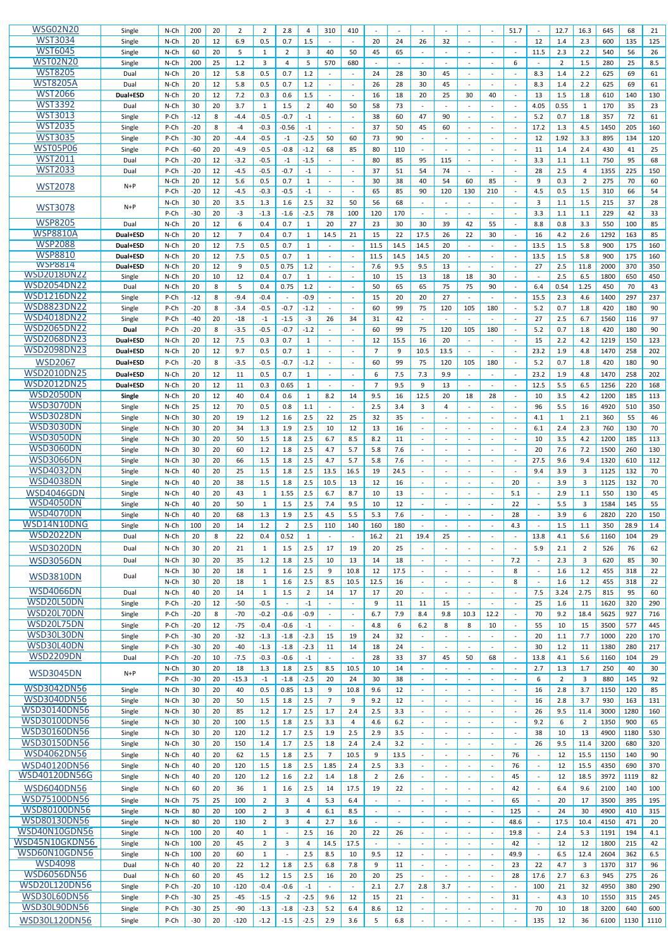| <b>WSG02N20</b>      |          |         |       |    |                |                |                |                |                |                |                |                          |                          |      |                              |        |      |                             |                |                         |      |      |      |
|----------------------|----------|---------|-------|----|----------------|----------------|----------------|----------------|----------------|----------------|----------------|--------------------------|--------------------------|------|------------------------------|--------|------|-----------------------------|----------------|-------------------------|------|------|------|
|                      | Single   | $N$ -Ch | 200   | 20 | $\overline{2}$ | 2              | 2.8            | 4              | 310            | 410            |                |                          | $\sim$                   |      |                              |        | 51.7 |                             | 12.7           | 16.3                    | 645  | 68   | 21   |
| <b>WST3034</b>       | Single   | N-Ch    | 20    | 12 | 6.9            | 0.5            | 0.7            | 1.5            |                |                | 20             | 24                       | 26                       | 32   |                              |        |      | 12                          | 1.4            | 2.3                     | 600  | 135  | 125  |
| <b>WST6045</b>       | Single   | N-Ch    | 60    | 20 | -5             | 1              | 2              | 3              | 40             | 50             | 45             | 65                       | $\blacksquare$           |      | $\overline{\phantom{a}}$     |        |      | 11.5                        | 2.3            | 2.2                     | 540  | 56   | 26   |
| <b>WST02N20</b>      | Single   | N-Ch    | 200   | 25 | 1.2            | $\overline{3}$ | 4              | 5              | 570            | 680            |                |                          |                          |      |                              |        | 6    |                             | $\overline{2}$ | 1.5                     | 280  | 25   | 8.5  |
| <b>WST8205</b>       |          |         |       |    |                |                |                |                |                |                |                |                          |                          |      |                              |        |      |                             |                |                         |      |      |      |
|                      | Dual     | N-Ch    | 20    | 12 | 5.8            | 0.5            | 0.7            | 1.2            |                | $\sim$         | 24             | 28                       | 30                       | 45   | $\sim$                       | $\sim$ |      | 8.3                         | 1.4            | 2.2                     | 625  | 69   | 61   |
| <b>WST8205A</b>      | Dual     | N-Ch    | 20    | 12 | 5.8            | 0.5            | 0.7            | 1.2            |                |                | 26             | 28                       | 30                       | 45   |                              |        |      | 8.3                         | 1.4            | 2.2                     | 625  | 69   | 61   |
| <b>WST2066</b>       | Dual+ESD | N-Ch    | 20    | 12 | 7.2            | 0.3            | 0.6            | 1.5            |                | $\sim$         | 16             | 18                       | 20                       | 25   | 30                           | 40     |      | 13                          | 1.5            | 1.8                     | 610  | 140  | 130  |
| <b>WST3392</b>       | Dual     | N-Ch    | 30    | 20 | 3.7            | 1              | 1.5            | $\overline{2}$ | 40             | 50             | 58             | 73                       |                          |      |                              |        |      | 4.05                        | 0.55           | 1                       | 170  | 35   | 23   |
| <b>WST3013</b>       |          |         |       |    |                |                |                |                |                |                |                |                          |                          |      |                              |        |      |                             |                |                         |      |      |      |
|                      | Single   | P-Ch    | $-12$ | 8  | -4.4           | $-0.5$         | $-0.7$         | $-1$           |                |                | 38             | 60                       | 47                       | 90   |                              |        |      | 5.2                         | 0.7            | 1.8                     | 357  | 72   | 61   |
| <b>WST2035</b>       | Single   | P-Ch    | $-20$ | 8  | -4             | $-0.3$         | $-0.56$        | $-1$           |                |                | 37             | 50                       | 45                       | 60   |                              |        |      | 17.2                        | 1.3            | 4.5                     | 1450 | 205  | 160  |
| <b>WST3035</b>       | Single   | P-Ch    | $-30$ | 20 | -4.4           | $-0.5$         | $-1$           | $-2.5$         | 50             | 60             | 73             | 90                       | $\sim$                   |      |                              |        |      | 12                          | 1.92           | 3.3                     | 895  | 134  | 120  |
| <b>WST05P06</b>      | Single   | P-Ch    | $-60$ | 20 | -4.9           | $-0.5$         | $-0.8$         | $-1.2$         | 68             | 85             | 80             | 110                      |                          |      |                              |        |      | 11                          | 1.4            | 2.4                     | 430  | 41   | 25   |
| <b>WST2011</b>       | Dual     | P-Ch    | $-20$ | 12 | $-3.2$         | $-0.5$         | $-1$           | $-1.5$         |                |                | 80             | 85                       | 95                       | 115  | $\sim$                       |        |      | 3.3                         | 1.1            | 1.1                     | 750  | 95   | 68   |
| <b>WST2033</b>       |          |         |       |    |                |                |                |                |                |                |                |                          |                          |      |                              |        |      |                             |                |                         |      |      |      |
|                      | Dual     | P-Ch    | $-20$ | 12 | $-4.5$         | $-0.5$         | $-0.7$         | $-1$           |                |                | 37             | 51                       | 54                       | 74   | $\overline{\phantom{a}}$     |        |      | 28                          | 2.5            | $\overline{4}$          | 1355 | 225  | 150  |
| <b>WST2078</b>       | $N+P$    | N-Ch    | 20    | 12 | 5.6            | 0.5            | 0.7            | $\mathbf{1}$   |                | $\blacksquare$ | 30             | 38                       | 40                       | 54   | 60                           | 85     |      | 9                           | 0.3            | $\overline{2}$          | 275  | 70   | 60   |
|                      |          | P-Ch    | $-20$ | 12 | -4.5           | $-0.3$         | $-0.5$         | $-1$           |                |                | 65             | 85                       | 90                       | 120  | 130                          | 210    |      | 4.5                         | 0.5            | 1.5                     | 310  | 66   | 54   |
|                      |          | N-Ch    | 30    | 20 | 3.5            | 1.3            | 1.6            | 2.5            | 32             | 50             | 56             | 68                       | $\sim$                   |      | $\overline{\phantom{a}}$     | $\sim$ |      | 3                           | 1.1            | 1.5                     | 215  | 37   | 28   |
| <b>WST3078</b>       | $N+P$    | P-Ch    | $-30$ | 20 | -3             | $-1.3$         | $-1.6$         | $-2.5$         | 78             | 100            | 120            | 170                      |                          |      |                              |        |      | 3.3                         | 1.1            | 1.1                     | 229  | 42   | 33   |
| <b>WSP8205</b>       |          |         |       |    |                |                |                |                |                |                |                |                          |                          |      |                              |        |      |                             |                |                         |      |      |      |
|                      | Dual     | N-Ch    | 20    | 12 | 6              | 0.4            | 0.7            | 1              | 20             | 27             | 23             | 30                       | 30                       | 39   | 42                           | 55     |      | 8.8                         | 0.8            | 3.3                     | 550  | 100  | 85   |
| WSP8810A             | Dual+ESD | N-Ch    | 20    | 12 | $\overline{7}$ | 0.4            | 0.7            | 1              | 14.5           | 21             | 15             | 22                       | 17.5                     | 26   | 22                           | 30     |      | 16                          | 4.2            | 2.6                     | 1292 | 163  | 85   |
| <b>WSP2088</b>       | Dual+ESD | N-Ch    | 20    | 12 | 7.5            | 0.5            | 0.7            | $\mathbf{1}$   |                | $\sim$         | 11.5           | 14.5                     | 14.5                     | 20   |                              | $\sim$ |      | 13.5                        | 1.5            | 5.8                     | 900  | 175  | 160  |
| <b>WSP8810</b>       | Dual+ESD | N-Ch    | 20    | 12 | 7.5            | 0.5            | 0.7            | $\mathbf{1}$   |                |                | 11.5           | 14.5                     | 14.5                     | 20   |                              |        |      | 13.5                        | 1.5            | 5.8                     | 900  | 175  | 160  |
| <b>WSP8814</b>       | Dual+ESD | N-Ch    | 20    | 12 | 9              | 0.5            | 0.75           | 1.2            |                | $\sim$         | 7.6            | 9.5                      | 9.5                      | 13   |                              |        |      | 27                          | 2.5            | 11.8                    | 2000 | 370  | 350  |
| <b>WSD2018DN22</b>   |          |         |       | 10 | 12             |                | 0.7            |                |                |                |                |                          |                          | 18   |                              |        |      |                             | 2.5            |                         | 1800 | 650  | 450  |
| <b>WSD2054DN22</b>   | Single   | N-Ch    | 20    |    |                | 0.4            |                | 1              |                |                | 10             | 15                       | 13                       |      | 18                           | 30     |      |                             |                | 6.5                     |      |      |      |
|                      | Dual     | $N$ -Ch | 20    | 8  | 5              | 0.4            | 0.75           | 1.2            |                |                | 50             | 65                       | 65                       | 75   | 75                           | 90     |      | 6.4                         | 0.54           | 1.25                    | 450  | 70   | 43   |
| <b>WSD1216DN22</b>   | Single   | P-Ch    | $-12$ | 8  | $-9.4$         | $-0.4$         |                | $-0.9$         |                | $\blacksquare$ | 15             | 20                       | 20                       | 27   |                              |        |      | 15.5                        | 2.3            | 4.6                     | 1400 | 297  | 237  |
| <b>WSD8823DN22</b>   | Single   | P-Ch    | $-20$ | 8  | $-3.4$         | $-0.5$         | $-0.7$         | $-1.2$         |                |                | 60             | 99                       | 75                       | 120  | 105                          | 180    |      | 5.2                         | 0.7            | 1.8                     | 420  | 180  | 90   |
| <b>WSD4018DN22</b>   | Single   | P-Ch    | -40   | 20 | $-18$          | $-1$           | $-1.5$         | -3             | 26             | 34             | 31             | 42                       | $\overline{\phantom{a}}$ |      |                              |        |      | 27                          | 2.5            | 6.7                     | 1560 | 116  | 97   |
| <b>WSD2065DN22</b>   | Dual     | P-Ch    | $-20$ | 8  | $-3.5$         | $-0.5$         | $-0.7$         | $-1.2$         |                | $\sim$         | 60             | 99                       | 75                       |      | 105                          | 180    |      | 5.2                         | 0.7            |                         | 420  | 180  | 90   |
|                      |          |         |       |    |                |                |                |                |                |                |                |                          |                          | 120  |                              |        |      |                             |                | 1.8                     |      |      |      |
| <b>WSD2068DN23</b>   | Dual+ESD | N-Ch    | 20    | 12 | 7.5            | 0.3            | 0.7            | $\mathbf{1}$   |                | $\blacksquare$ | 12             | 15.5                     | 16                       | 20   | $\overline{\phantom{a}}$     | $\sim$ |      | 15                          | 2.2            | 4.2                     | 1219 | 150  | 123  |
| <b>WSD2098DN23</b>   | Dual+ESD | N-Ch    | 20    | 12 | 9.7            | 0.5            | 0.7            | 1              |                |                | 7              | 9                        | 10.5                     | 13.5 |                              |        |      | 23.2                        | 1.9            | 4.8                     | 1470 | 258  | 202  |
| <b>WSD2067</b>       | Dual+ESD | P-Ch    | $-20$ | 8  | -3.5           | $-0.5$         | $-0.7$         | $-1.2$         |                |                | 60             | 99                       | 75                       | 120  | 105                          | 180    |      | 5.2                         | 0.7            | 1.8                     | 420  | 180  | 90   |
| <b>WSD2010DN25</b>   |          |         |       |    |                |                |                |                |                |                |                |                          |                          |      |                              |        |      |                             |                |                         |      |      |      |
|                      | Dual+ESD | N-Ch    | 20    | 12 | 11             | 0.5            | 0.7            | $\mathbf{1}$   |                |                | 6              | 7.5                      | 7.3                      | 9.9  |                              |        |      | 23.2                        | 1.9            | 4.8                     | 1470 | 258  | 202  |
| <b>WSD2012DN25</b>   | Dual+ESD | N-Ch    | 20    | 12 | 11             | 0.3            | 0.65           | 1              |                |                | 7              | 9.5                      | 9                        | 13   |                              |        |      | 12.5                        | 5.5            | 6.5                     | 1256 | 220  | 168  |
| <b>WSD2050DN</b>     | Single   | N-Ch    | 20    | 12 | 40             | 0.4            | 0.6            | $\mathbf{1}$   | 8.2            | 14             | 9.5            | 16                       | 12.5                     | 20   | 18                           | 28     |      | 10                          | 3.5            | 4.2                     | 1200 | 185  | 113  |
| <b>WSD3070DN</b>     | Single   | N-Ch    | 25    | 12 | 70             | 0.5            | 0.8            | 1.1            |                |                | 2.5            | 3.4                      | 3                        | 4    |                              |        |      | 96                          | 5.5            | 16                      | 4920 | 510  | 350  |
| <b>WSD3028DN</b>     | Single   | N-Ch    | 30    | 20 | 19             | 1.2            | 1.6            | 2.5            | 22             | 25             | 32             | 35                       | $\sim$                   |      | $\overline{\phantom{a}}$     | $\sim$ |      | 4.1                         | 1              | 2.1                     | 360  | 55   | 46   |
| <b>WSD3030DN</b>     |          |         |       |    |                |                |                |                |                |                |                |                          |                          |      |                              |        |      |                             |                |                         |      |      |      |
|                      | Single   | N-Ch    | 30    | 20 | 34             | 1.3            | 1.9            | 2.5            | 10             | 12             | 13             | 16                       |                          |      |                              |        |      | 6.1                         | 2.4            | 2.3                     | 760  | 130  | 70   |
| <b>WSD3050DN</b>     | Single   | N-Ch    | 30    | 20 | 50             | 1.5            | 1.8            | 2.5            | 6.7            | 8.5            | 8.2            | 11                       | $\sim$                   |      |                              |        |      | 10                          | 3.5            | 4.2                     | 1200 | 185  | 113  |
| <b>WSD3060DN</b>     | Single   | N-Ch    | 30    | 20 | 60             | 1.2            | 1.8            | 2.5            | 4.7            | 5.7            | 5.8            | 7.6                      | $\sim$                   |      |                              |        |      | 20                          | 7.6            | 7.2                     | 1500 | 260  | 130  |
| <b>WSD3066DN</b>     | Single   | N-Ch    | 30    | 20 | 66             | 1.5            | 1.8            | 2.5            | 4.7            | 5.7            | 5.8            | 7.6                      | $\sim$                   |      |                              |        |      | 27.5                        | 9.6            | 9.4                     | 1320 | 610  | 112  |
| <b>WSD4032DN</b>     | Single   | N-Ch    | 40    | 20 | 25             | 1.5            | 1.8            | 2.5            | 13.5           | 16.5           | 19             | 24.5                     |                          |      |                              |        |      | 9.4                         | 3.9            | 3                       | 1125 | 132  | 70   |
| <b>WSD4038DN</b>     |          |         |       |    |                |                |                |                |                |                |                |                          |                          |      |                              |        |      |                             |                |                         |      |      |      |
|                      | Single   | $N$ -Ch | 40    | 20 | 38             | 1.5            | 1.8            | 2.5            | 10.5           | 13             | 12             | 16                       | $\sim$                   |      |                              |        | 20   |                             | 3.9            | 3                       | 1125 | 132  | 70   |
| <b>WSD4046GDN</b>    | Single   | $N$ -Ch | 40    | 20 | 43             | 1              | 1.55           | 2.5            | 6.7            | 8.7            | 10             | 13                       | $\sim$                   |      | $\sim$                       |        | 5.1  | $\sim$                      | 2.9            | 1.1                     | 550  | 130  | 45   |
| <b>WSD4050DN</b>     | Single   | $N$ -Ch | 40    | 20 | 50             | 1              | 1.5            | 2.5            | 7.4            | 9.5            | 10             | 12                       | $\sim$                   |      |                              |        | 22   |                             | 5.5            | 3                       | 1584 | 145  | 55   |
| <b>WSD4070DN</b>     | Single   | N-Ch    | 40    | 20 | 68             | 1.3            | 1.9            | 2.5            | 4.5            | 5.5            | 5.3            | 7.6                      | $\blacksquare$           |      |                              |        | 28   |                             | 3.9            | 6                       | 2820 | 220  | 150  |
| WSD14N10DNG          |          |         |       |    |                |                |                |                |                |                |                |                          |                          |      |                              |        |      |                             |                |                         |      |      |      |
|                      | Single   | N-Ch    | 100   | 20 | 14             | 1.2            | $\overline{2}$ | 2.5            | 110            | 140            | 160            | 180                      |                          |      |                              |        | 4.3  | $\sim$                      | 1.5            | 1.1                     | 350  | 28.9 | 1.4  |
| <b>WSD2022DN</b>     | Dual     | N-Ch    | 20    | 8  | 22             | 0.4            | 0.52           | $\mathbf{1}$   |                |                | 16.2           | 21                       | 19.4                     | 25   |                              |        |      | 13.8                        | 4.1            | 5.6                     | 1160 | 104  | 29   |
| <b>WSD3020DN</b>     | Dual     | $N$ -Ch | 30    | 20 | 21             | 1              | 1.5            | 2.5            | 17             | 19             | 20             | 25                       | $\overline{\phantom{a}}$ |      |                              | $\sim$ |      | 5.9                         | 2.1            | $\overline{2}$          | 526  | 76   | 62   |
|                      |          | N-Ch    | 30    | 20 | 35             | 1.2            |                | 2.5            | 10             | 13             | 14             | 18                       | $\sim$                   |      |                              | $\sim$ |      | $\sim$                      | 2.3            |                         | 620  | 85   |      |
| <b>WSD3056DN</b>     | Dual     |         |       |    |                |                | 1.8            |                |                |                |                |                          |                          |      |                              |        | 7.2  |                             |                | 3                       |      |      | 30   |
| <b>WSD3810DN</b>     | Dual     | N-Ch    | 30    | 20 | 18             | 1              | 1.6            | 2.5            | 9              | 10.8           | 12             | 17.5                     |                          |      |                              |        | 8    |                             | 1.6            | 1.2                     | 455  | 318  | 22   |
|                      |          | N-Ch    | 30    | 20 | 18             | 1              | 1.6            | 2.5            | 8.5            | 10.5           | 12.5           | 16                       | $\blacksquare$           |      |                              |        | 8    | $\sim$                      | 1.6            | 1.2                     | 455  | 318  | 22   |
| <b>WSD4066DN</b>     | Dual     | N-Ch    | 40    | 20 | 14             | 1              | 1.5            | $\overline{2}$ | 14             | 17             | 17             | 20                       |                          |      |                              |        |      | 7.5                         | 3.24           | 2.75                    | 815  | 95   | 60   |
| WSD20L50DN           | Single   | P-Ch    | $-20$ | 12 | $-50$          | $-0.5$         |                | $-1$           |                | $\sim$         | 9              | 11                       | 11                       | 15   | $\sim$                       |        |      | 25                          | 1.6            | 11                      | 1620 | 320  | 290  |
| WSD20L70DN           |          |         |       |    |                |                |                |                |                |                |                |                          |                          |      |                              |        |      |                             |                |                         |      |      |      |
|                      | Single   | P-Ch    | $-20$ | 8  | $-70$          | $-0.2$         | $-0.6$         | $-0.9$         |                | $\blacksquare$ | 6.7            | 7.9                      | 8.4                      | 9.8  | 10.3                         | 12.2   |      | 70                          | 9.2            | 18.4                    | 5625 | 927  | 716  |
| WSD20L75DN           | Single   | P-Ch    | $-20$ | 12 | $-75$          | $-0.4$         | $-0.6$         | $-1$           |                | $\sim$         | 4.8            | 6                        | $6.2$                    | 8    | 8                            | 10     |      | 55                          | 10             | 15                      | 3500 | 577  | 445  |
| WSD30L30DN           | Single   | P-Ch    | $-30$ | 20 | $-32$          | $-1.3$         | $-1.8$         | $-2.3$         | 15             | 19             | 24             | 32                       | $\blacksquare$           |      |                              |        |      | 20                          | 1.1            | 7.7                     | 1000 | 220  | 170  |
| WSD30L40DN           | Single   | P-Ch    | $-30$ | 20 | $-40$          | $-1.3$         | $-1.8$         | $-2.3$         | 11             | 14             | 18             | 24                       | $\sim$                   |      | $\overline{a}$               | $\sim$ |      | 30                          | 1.2            | 11                      | 1380 | 280  | 217  |
| <b>WSD2209DN</b>     | Dual     | P-Ch    | $-20$ | 10 | $-7.5$         | $-0.3$         | $-0.6$         | $-1$           |                |                | 28             | 33                       | 37                       | 45   | 50                           | 68     |      | 13.8                        | 4.1            | 5.6                     | 1160 | 104  | 29   |
|                      |          | N-Ch    | 30    | 20 | 18             | 1.3            | 1.8            | 2.5            | 8.5            | 10.5           | 10             | 14                       | $\omega$                 |      |                              |        |      | 2.7                         | 1.3            | 1.7                     | 250  | 40   | 30   |
| <b>WSD3045DN</b>     | $N+P$    |         |       |    |                |                |                |                |                |                |                |                          |                          |      |                              |        |      |                             |                |                         |      |      |      |
|                      |          | P-Ch    | $-30$ | 20 | $-15.3$        | $-1$           | $-1.8$         | $-2.5$         | 20             | 24             | 30             | 38                       | $\blacksquare$           |      | $\blacksquare$               |        |      | 6                           | $\overline{2}$ | 3                       | 880  | 145  | 92   |
| <b>WSD3042DN56</b>   | Single   | N-Ch    | 30    | 20 | 40             | 0.5            | 0.85           | 1.3            | 9              | 10.8           | 9.6            | 12                       | $\sim$                   |      |                              |        |      | 16                          | 2.8            | 3.7                     | 1150 | 120  | 85   |
| <b>WSD3040DN56</b>   | Single   | $N$ -Ch | 30    | 20 | 50             | 1.5            | 1.8            | 2.5            | $\overline{7}$ | 9              | 9.2            | 12                       |                          |      |                              |        |      | 16                          | 2.8            | 3.7                     | 930  | 163  | 131  |
| <b>WSD30140DN56</b>  | Single   | N-Ch    | 30    | 20 | 85             | 1.2            | 1.7            | 2.5            | 1.7            | 2.4            | 2.5            | 3.3                      | $\sim$                   |      |                              |        |      | 26                          | 9.5            | 11.4                    | 3000 | 1280 | 160  |
| <b>WSD30100DN56</b>  | Single   | N-Ch    | 30    | 20 | 100            | 1.5            | 1.8            | 2.5            | 3.3            | 4              | 4.6            | 6.2                      |                          |      |                              |        |      | 9.2                         | 6              | $\overline{2}$          | 1350 | 900  | 65   |
| <b>WSD30160DN56</b>  |          |         |       |    |                |                |                |                |                |                |                |                          |                          |      |                              |        |      |                             |                |                         |      |      |      |
|                      | Single   | N-Ch    | 30    | 20 | 120            | 1.2            | 1.7            | 2.5            | 1.9            | 2.5            | 2.9            | 3.5                      |                          |      |                              |        |      | 38                          | 10             | 13                      | 4900 | 1180 | 530  |
| <b>WSD30150DN56</b>  | Single   | N-Ch    | 30    | 20 | 150            | 1.4            | 1.7            | 2.5            | 1.8            | 2.4            | 2.4            | 3.2                      | $\blacksquare$           |      | $\blacksquare$               | $\sim$ |      | 26                          | 9.5            | 11.4                    | 3200 | 680  | 320  |
| <b>WSD4062DN56</b>   | Single   | N-Ch    | 40    | 20 | 62             | 1.5            | 1.8            | 2.5            | $\overline{7}$ | 10.5           | 9              | 13.5                     | $\mathbf{r}$             |      |                              |        | 76   | $\sim$                      | 12             | 15.5                    | 1150 | 140  | 90   |
| WSD40120DN56         | Single   | N-Ch    | 40    | 20 | 120            | 1.5            | 1.8            | 2.5            | 1.85           | 2.4            | 2.5            | 3.3                      |                          |      | $\sim$                       |        | 76   | $\mathcal{L}_{\mathcal{A}}$ | 12             | 15.5                    | 4350 | 690  | 370  |
| <b>WSD40120DN56G</b> | Single   | N-Ch    | 40    | 20 | 120            | $1.2\,$        | 1.6            | $2.2\,$        | 1.4            | 1.8            | $\overline{2}$ | 2.6                      |                          |      |                              |        | 45   | $\sim$                      | 12             | 18.5                    | 3972 | 1119 | 82   |
|                      |          |         |       |    |                |                |                |                |                |                |                |                          |                          |      |                              |        |      |                             |                |                         |      |      |      |
| <b>WSD6040DN56</b>   | Single   | N-Ch    | 60    | 20 | 36             | $\mathbf{1}$   | 1.6            | $2.5$          | 14             | 17.5           | 19             | 22                       | $\blacksquare$           |      |                              | $\sim$ | 42   | $\sim$                      | 6.4            | 9.6                     | 2100 | 140  | 100  |
| <b>WSD75100DN56</b>  | Single   | N-Ch    | 75    | 25 | 100            | $\overline{2}$ | 3              | $\overline{4}$ | 5.3            | 6.4            |                |                          |                          |      |                              |        | 65   |                             | 20             | 17                      | 3500 | 395  | 195  |
| <b>WSD80100DN56</b>  | Single   | N-Ch    | 80    | 20 | 100            | $\overline{2}$ | 3              | $\overline{4}$ | 6.1            | 8.5            |                | $\overline{\phantom{a}}$ | $\overline{\phantom{a}}$ |      | $\overline{\phantom{a}}$     |        | 125  | $\sim$                      | 24             | 30                      | 4900 | 410  | 315  |
| <b>WSD80130DN56</b>  | Single   | N-Ch    | 80    | 20 | 130            | $\overline{2}$ | 3              | 4              | 2.7            | 3.6            |                |                          |                          |      |                              |        | 48.6 |                             | 17.5           | 10.4                    | 4150 | 471  | 20   |
| <b>WSD40N10GDN56</b> |          |         |       |    |                |                |                |                |                |                |                |                          |                          |      |                              |        |      |                             |                |                         |      |      |      |
|                      | Single   | N-Ch    | 100   | 20 | 40             | $\mathbf{1}$   |                | $2.5$          | 16             | 20             | 22             | 26                       | $\sim$                   |      | $\blacksquare$               |        | 19.8 | $\mathcal{L}_{\mathcal{A}}$ | 2.4            | 5.3                     | 1191 | 194  | 4.1  |
| WSD45N10GKDN56       | Single   | N-Ch    | 100   | 20 | 45             | $\overline{2}$ | 3              | 4              | 14.5           | 17.5           |                |                          |                          |      |                              |        | 42   |                             | 12             | 12                      | 1800 | 215  | 42   |
| WSD60N10GDN56        | Single   | N-Ch    | 100   | 20 | 60             | 1              |                | $2.5$          | 8.5            | 10             | 9.5            | 12                       | $\sim$                   |      | $\blacksquare$               | $\sim$ | 49.9 | $\sim$                      | 6.5            | 12.4                    | 2604 | 362  | 6.5  |
| <b>WSD4098</b>       | Dual     | $N$ -Ch | 40    | 20 | 22             | $1.2\,$        | 1.8            | $2.5\,$        | 6.8            | 7.8            | 9              | 11                       | $\blacksquare$           |      | $\blacksquare$               |        | 23   | 22                          | 4.7            | $\overline{\mathbf{3}}$ | 1370 | 317  | 96   |
| <b>WSD6056DN56</b>   | Dual     | N-Ch    | 60    | 20 | 45             | 1.2            | 1.5            | $2.5$          | 16             | 20             | 20             | 25                       | $\sim$                   |      | $\sim$                       | $\sim$ | 28   | 17.6                        | 2.7            | 6.3                     | 945  | 275  | 26   |
|                      |          |         |       |    |                |                |                |                |                |                |                |                          |                          |      |                              |        |      |                             |                |                         |      |      |      |
| <b>WSD20L120DN56</b> | Single   | P-Ch    | $-20$ | 10 | $-120$         | $-0.4$         | $-0.6$         | $-1$           |                |                | 2.1            | 2.7                      | 2.8                      | 3.7  |                              |        |      | 100                         | 21             | 32                      | 4950 | 380  | 290  |
| <b>WSD30L60DN56</b>  | Single   | P-Ch    | $-30$ | 25 | $-45$          | $-1.5$         | $-2$           | $-2.5$         | 9.6            | 12             | 15             | 21                       | $\sim$                   |      | $\blacksquare$               | $\sim$ | 31   | $\blacksquare$              | 4.3            | 10                      | 1550 | 315  | 245  |
|                      |          |         |       |    |                |                |                |                |                |                |                |                          |                          |      |                              |        |      |                             |                |                         |      |      |      |
| <b>WSD30L90DN56</b>  | Single   | P-Ch    | $-30$ | 25 | $-90$          | $-1.3$         | $-1.8$         | $-2.3$         | 5.2            | 6.4            | 8.6            | 12                       |                          |      | $\blacksquare$               |        |      | 70                          | 10             | 18                      | 3200 | 640  | 600  |
| WSD30L120DN56        | Single   | P-Ch    | $-30$ | 20 | $-120$         | $-1.2$         | $-1.5$         | $-2.5$         | 2.9            | 3.6            | 5              | 6.8                      |                          |      | $\qquad \qquad \blacksquare$ |        |      | 135                         | 12             | 36                      | 6100 | 1130 | 1110 |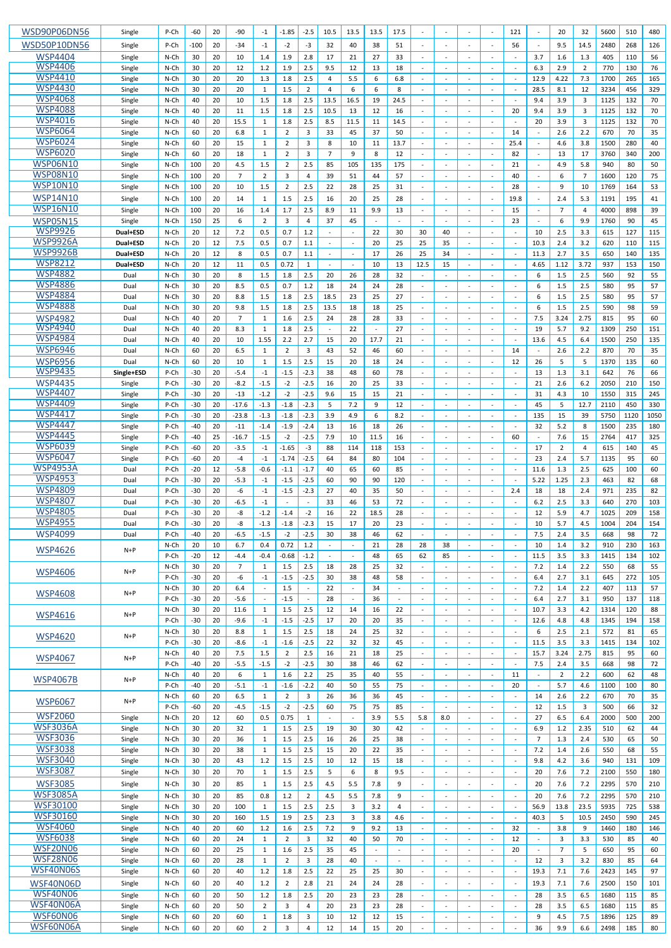| <b>WSD90P06DN56</b>                | Single           | P-Ch               | $-60$          | 20           | -90              | $-1$                     | $-1.85$          | $-2.5$                 | 10.5                     | 13.5                           | 13.5       | 17.5       | $\blacksquare$                           |                          |                                  | $\sim$                                     | 121            |                          | 20                  | 32             | 5600         | 510        | 480        |
|------------------------------------|------------------|--------------------|----------------|--------------|------------------|--------------------------|------------------|------------------------|--------------------------|--------------------------------|------------|------------|------------------------------------------|--------------------------|----------------------------------|--------------------------------------------|----------------|--------------------------|---------------------|----------------|--------------|------------|------------|
| <b>WSD50P10DN56</b>                | Single           | P-Ch               | -100           | 20           | -34              | -1                       | -2               | $-3$                   | 32                       | 40                             | 38         | 51         |                                          |                          |                                  |                                            | 56             |                          | 9.5                 | 14.5           | 2480         | 268        | 126        |
| <b>WSP4404</b>                     | Single           | $N$ -Ch            | 30             | 20           | 10               | 1.4                      | 1.9              | 2.8                    | 17                       | 21                             | 27         | 33         | $\blacksquare$                           |                          |                                  |                                            |                | 3.7                      | 1.6                 | 1.3            | 405          | 110        | 56         |
| <b>WSP4406</b>                     | Single           | N-Ch               | 30             | 20           | 12               | 1.2                      | 1.9              | 2.5                    | 9.5                      | 12                             | 13         | 18         | $\blacksquare$                           |                          | $\overline{\phantom{a}}$         | $\sim$                                     |                | 6.3                      | 2.9                 | $\overline{2}$ | 770          | 130        | 76         |
| <b>WSP4410</b>                     | Single           | N-Ch               | 30             | 20           | 20               | 1.3                      | 1.8              | 2.5                    | 4                        | 5.5                            | 6          | 6.8        |                                          |                          |                                  |                                            |                | 12.9                     | 4.22                | 7.3            | 1700         | 265        | 165        |
| <b>WSP4430</b><br><b>WSP4068</b>   | Single           | N-Ch               | 30             | 20           | 20               | 1                        | 1.5              | $\overline{2}$         | $\overline{4}$           | 6                              | 6          | 8          | $\blacksquare$                           |                          | $\overline{\phantom{a}}$         | $\sim$                                     |                | 28.5                     | 8.1                 | 12             | 3234         | 456        | 329        |
| <b>WSP4088</b>                     | Single<br>Single | N-Ch<br>N-Ch       | 40<br>40       | 20<br>20     | 10<br>11         | 1.5<br>1.5               | 1.8<br>1.8       | 2.5<br>2.5             | 13.5<br>10.5             | 16.5<br>13                     | 19<br>12   | 24.5<br>16 | $\mathbf{r}$<br>$\omega$                 |                          | $\overline{\phantom{a}}$         | $\sim$                                     | 20             | 9.4<br>9.4               | 3.9<br>3.9          | 3<br>3         | 1125<br>1125 | 132<br>132 | 70<br>70   |
| <b>WSP4016</b>                     | Single           | N-Ch               | 40             | 20           | 15.5             | 1                        | 1.8              | 2.5                    | 8.5                      | 11.5                           | 11         | 14.5       | $\mathbf{r}$                             |                          |                                  |                                            |                | 20                       | 3.9                 | 3              | 1125         | 132        | 70         |
| <b>WSP6064</b>                     | Single           | N-Ch               | 60             | 20           | 6.8              | 1                        | 2                | 3                      | 33                       | 45                             | 37         | 50         | $\mathbf{r}$                             |                          | $\overline{\phantom{a}}$         | $\sim$                                     | 14             | $\sim$                   | 2.6                 | 2.2            | 670          | 70         | 35         |
| <b>WSP6024</b>                     | Single           | N-Ch               | 60             | 20           | 15               | $\mathbf{1}$             | 2                | 3                      | 8                        | 10                             | 11         | 13.7       | $\blacksquare$                           |                          | $\overline{a}$                   | $\sim$                                     | 25.4           | $\sim$                   | 4.6                 | 3.8            | 1500         | 280        | 40         |
| <b>WSP6020</b>                     | Single           | N-Ch               | 60             | 20           | 18               | 1                        | 2                | 3                      | 7                        | 9                              | 8          | 12         | $\sim$                                   |                          | $\overline{\phantom{a}}$         | $\sim$                                     | 82             | $\sim$                   | 13                  | 17             | 3760         | 340        | 200        |
| <b>WSP06N10</b>                    | Single           | N-Ch               | 100            | 20           | 4.5              | 1.5                      | 2                | 2.5                    | 85                       | 105                            | 135        | 175        |                                          |                          |                                  |                                            | 21             |                          | 4.9                 | 5.8            | 940          | 80         | 50         |
| <b>WSP08N10</b><br><b>WSP10N10</b> | Single           | N-Ch               | 100            | 20           | $\overline{7}$   | $\overline{2}$           | 3                | 4                      | 39                       | 51                             | 44         | 57         | $\mathbf{r}$                             |                          |                                  | $\sim$                                     | 40             | $\sim$                   | 6                   | 7              | 1600         | 120        | 75         |
|                                    | Single           | N-Ch               | 100            | 20           | 10               | 1.5                      | 2                | 2.5                    | 22                       | 28                             | 25         | 31         | $\blacksquare$                           |                          | $\overline{a}$                   |                                            | 28             |                          | 9                   | 10             | 1769         | 164        | 53         |
| <b>WSP14N10</b><br><b>WSP16N10</b> | Single           | N-Ch               | 100            | 20           | 14               | 1                        | 1.5              | 2.5                    | 16                       | 20                             | 25         | 28         | $\sim$                                   |                          |                                  |                                            | 19.8           |                          | 2.4                 | 5.3            | 1191         | 195        | 41         |
| <b>WSP05N15</b>                    | Single<br>Single | N-Ch<br>N-Ch       | 100<br>150     | 20<br>25     | 16<br>6          | 1.4<br>$\overline{2}$    | 1.7<br>3         | 2.5<br>4               | 8.9<br>37                | 11<br>45                       | 9.9        | 13         | $\mathbf{r}$<br>$\sim$                   |                          | $\blacksquare$<br>$\overline{a}$ | $\sim$<br>$\sim$                           | 15<br>23       | $\sim$                   | $\overline{7}$<br>6 | 4<br>9.9       | 4000<br>1760 | 898<br>90  | 39<br>45   |
| <b>WSP9926</b>                     | Dual+ESD         | N-Ch               | 20             | 12           | 7.2              | 0.5                      | 0.7              | 1.2                    |                          |                                | 22         | 30         | 30                                       | 40                       |                                  |                                            |                | 10                       | 2.5                 | 3.3            | 615          | 127        | 115        |
| <b>WSP9926A</b>                    | Dual+ESD         | $N$ -Ch            | 20             | 12           | 7.5              | 0.5                      | 0.7              | 1.1                    |                          | $\sim$                         | 20         | 25         | 25                                       | 35                       | $\overline{\phantom{a}}$         | $\overline{\phantom{a}}$                   |                | 10.3                     | 2.4                 | 3.2            | 620          | 110        | 115        |
| <b>WSP9926B</b>                    | Dual+ESD         | N-Ch               | 20             | 12           | 8                | 0.5                      | 0.7              | 1.1                    | $\overline{\phantom{a}}$ | $\overline{\phantom{a}}$       | 17         | 26         | 25                                       | 34                       | $\overline{\phantom{a}}$         | $\sim$                                     |                | 11.3                     | 2.7                 | 3.5            | 650          | 140        | 135        |
| <b>WSP8212</b>                     | Dual+ESD         | $N$ -Ch            | 20             | 12           | 11               | 0.5                      | 0.72             | 1                      |                          | $\overline{\phantom{a}}$       | 10         | 13         | 12.5                                     | 15                       |                                  | $\sim$                                     |                | 4.65                     | 1.12                | 3.72           | 937          | 153        | 150        |
| <b>WSP4882</b>                     | Dual             | N-Ch               | 30             | 20           | 8                | 1.5                      | 1.8              | 2.5                    | 20                       | 26                             | 28         | 32         | $\sim$                                   |                          |                                  |                                            |                | 6                        | 1.5                 | 2.5            | 560          | 92         | 55         |
| <b>WSP4886</b><br><b>WSP4884</b>   | Dual             | $N$ -Ch            | 30             | 20           | 8.5              | 0.5                      | 0.7              | 1.2                    | 18                       | 24                             | 24         | 28         | $\mathbf{r}$                             |                          |                                  |                                            |                | 6                        | 1.5                 | 2.5            | 580          | 95         | 57         |
| <b>WSP4888</b>                     | Dual<br>Dual     | $N$ -Ch<br>$N$ -Ch | 30<br>30       | 20<br>20     | 8.8<br>9.8       | 1.5<br>1.5               | 1.8<br>1.8       | 2.5<br>2.5             | 18.5<br>13.5             | 23<br>18                       | 25<br>18   | 27<br>25   | $\mathbf{r}$<br>$\overline{\phantom{a}}$ |                          | $\overline{\phantom{a}}$         | $\sim$                                     |                | 6<br>6                   | 1.5<br>1.5          | 2.5<br>2.5     | 580<br>590   | 95<br>98   | 57<br>59   |
| <b>WSP4982</b>                     | Dual             | N-Ch               | 40             | 20           | $\overline{7}$   | 1                        | 1.6              | 2.5                    | 24                       | 28                             | 28         | 33         | $\blacksquare$                           |                          | $\overline{\phantom{a}}$         | $\sim$                                     |                | 7.5                      | 3.24                | 2.75           | 815          | 95         | 60         |
| <b>WSP4940</b>                     | Dual             | $N$ -Ch            | 40             | 20           | 8.3              | 1                        | 1.8              | 2.5                    |                          | 22                             |            | 27         | $\sim$                                   |                          |                                  |                                            |                | 19                       | 5.7                 | 9.2            | 1309         | 250        | 151        |
| <b>WSP4984</b>                     | Dual             | N-Ch               | 40             | 20           | 10               | 1.55                     | 2.2              | 2.7                    | 15                       | 20                             | 17.7       | 21         | $\sim$                                   |                          | $\blacksquare$                   | $\sim$                                     |                | 13.6                     | 4.5                 | 6.4            | 1500         | 250        | 135        |
| <b>WSP6946</b>                     | Dual             | $N$ -Ch            | 60             | 20           | 6.5              | 1                        | 2                | 3                      | 43                       | 52                             | 46         | 60         | $\blacksquare$                           |                          |                                  |                                            | 14             |                          | 2.6                 | 2.2            | 870          | 70         | 35         |
| <b>WSP6956</b>                     | Dual             | $N$ -Ch            | 60             | 20           | 10               | 1                        | 1.5              | 2.5                    | 15                       | 20                             | 18         | 24         | $\blacksquare$                           |                          | $\overline{\phantom{a}}$         | $\sim$                                     | 12             | 26                       | 5                   | .5             | 1370         | 135        | 60         |
| <b>WSP9435</b>                     | Single+ESD       | P-Ch               | $-30$          | 20           | $-5.4$           | $-1$                     | -1.5             | $-2.3$                 | 38                       | 48                             | 60         | 78         |                                          |                          |                                  |                                            |                | 13                       | 1.3                 | 3.1            | 642          | 76         | 66         |
| <b>WSP4435</b><br><b>WSP4407</b>   | Single<br>Single | P-Ch<br>P-Ch       | $-30$<br>$-30$ | 20<br>20     | $-8.2$<br>$-13$  | $-1.5$<br>$-1.2$         | $-2$<br>$-2$     | $-2.5$<br>$-2.5$       | 16<br>9.6                | 20<br>15                       | 25<br>15   | 33<br>21   | $\blacksquare$                           |                          |                                  | $\sim$                                     |                | 21<br>31                 | 2.6<br>4.3          | 6.2<br>10      | 2050<br>1550 | 210<br>315 | 150<br>245 |
| <b>WSP4409</b>                     | Single           | P-Ch               | $-30$          | 20           | $-17.6$          | $-1.3$                   | $-1.8$           | $-2.3$                 | 5                        | 7.2                            | 9          | 12         | $\blacksquare$                           |                          | $\blacksquare$                   | $\sim$                                     |                | 45                       | 5                   | 12.7           | 2110         | 450        | 330        |
| <b>WSP4417</b>                     | Single           | P-Ch               | $-30$          | 20           | $-23.8$          | $-1.3$                   | $-1.8$           | $-2.3$                 | 3.9                      | 4.9                            | 6          | 8.2        | $\blacksquare$                           |                          |                                  | $\sim$                                     |                | 135                      | 15                  | 39             | 5750         | 1120       | 1050       |
| <b>WSP4447</b>                     | Single           | P-Ch               | $-40$          | 20           | $-11$            | $-1.4$                   | $-1.9$           | $-2.4$                 | 13                       | 16                             | 18         | 26         | $\mathbf{r}$                             |                          | $\overline{\phantom{a}}$         | $\sim$                                     |                | 32                       | 5.2                 | 8              | 1500         | 235        | 180        |
| <b>WSP4445</b>                     | Single           | P-Ch               | $-40$          | 25           | $-16.7$          | $-1.5$                   | $-2$             | $-2.5$                 | 7.9                      | 10                             | 11.5       | 16         |                                          |                          |                                  |                                            | 60             | $\overline{\phantom{a}}$ | 7.6                 | 15             | 2764         | 417        | 325        |
| <b>WSP6039</b>                     | Single           | P-Ch               | $-60$          | 20           | $-3.5$           | $-1$                     | $-1.65$          | $-3$                   | 88                       | 114                            | 118        | 153        | $\mathbf{r}$                             |                          | $\overline{\phantom{a}}$         | $\sim$                                     |                | 17                       | $\overline{2}$      | $\overline{4}$ | 615          | 140        | 45         |
| <b>WSP6047</b><br><b>WSP4953A</b>  | Single           | P-Ch               | $-60$          | 20           | $-4$             | $-1$                     | $-1.74$          | $-2.5$                 | 64                       | 84                             | 80         | 104        | $\blacksquare$                           |                          |                                  | $\blacksquare$                             |                | 23                       | 2.4                 | 5.7            | 1135         | 95         | 60         |
| <b>WSP4953</b>                     | Dual<br>Dual     | P-Ch<br>P-Ch       | $-20$<br>$-30$ | 12<br>20     | $-5.8$<br>$-5.3$ | $-0.6$<br>$-1$           | $-1.1$<br>$-1.5$ | $-1.7$<br>$-2.5$       | 40<br>60                 | 65<br>90                       | 60<br>90   | 85<br>120  | $\sim$                                   |                          |                                  | $\sim$                                     |                | 11.6<br>5.22             | 1.3<br>1.25         | 2.5<br>2.3     | 625<br>463   | 100<br>82  | 60<br>68   |
| <b>WSP4809</b>                     | Dual             | P-Ch               | $-30$          | 20           | -6               | $-1$                     | $-1.5$           | $-2.3$                 | 27                       | 40                             | 35         | 50         | $\blacksquare$                           |                          |                                  | $\sim$                                     | 2.4            | 18                       | 18                  | 2.4            | 971          | 235        | 82         |
| <b>WSP4807</b>                     | Dual             | P-Ch               | $-30$          | 20           | $-6.5$           | $-1$                     |                  | $\blacksquare$         | 33                       | 46                             | 53         | 72         | $\blacksquare$                           |                          |                                  | $\blacksquare$                             |                | 6.2                      | 2.5                 | 3.3            | 640          | 270        | 103        |
| <b>WSP4805</b>                     | Dual             | P-Ch               | $-30$          | 20           | -8               | $-1.2$                   | $-1.4$           | $-2$                   | 16                       | 22                             | 18.5       | 28         | $\sim$                                   |                          |                                  | $\overline{\phantom{a}}$                   |                | 12                       | 5.9                 | 4.7            | 1025         | 209        | 158        |
| <b>WSP4955</b>                     | Dual             | P-Ch               | $-30$          | 20           | -8               | $-1.3$                   | $-1.8$           | $-2.3$                 | 15                       | 17                             | 20         | 23         | $\blacksquare$                           |                          |                                  |                                            |                | 10                       | 5.7                 | 4.5            | 1004         | 204        | 154        |
| <b>WSP4099</b>                     | Dual             | P-Ch               | $-40$          | 20           | $-6.5$           | $-1.5$                   | $-2$             | $-2.5$                 | 30                       | 38                             | 46         | 62         | $\mathbf{r}$                             |                          |                                  | ÷.                                         |                | 7.5                      | 2.4                 | 3.5            | 668          | 98         | 72         |
| <b>WSP4626</b>                     | $N+P$            | N-Ch               | 20             | 10           | 6.7              | 0.4                      | 0.72             | $1.2\,$                | $\overline{\phantom{a}}$ | $\blacksquare$                 | 21         | 28         | 28                                       | 38                       | $\overline{\phantom{a}}$         | $\sim$                                     |                | 10                       | 1.4                 | 3.2            | 910          | 230        | 163        |
|                                    |                  | P-Ch<br>N-Ch       | $-20$<br>30    | 12<br>20     | $-4.4$<br>7      | -0.4<br>1                | $-0.68$<br>1.5   | $-1.2$<br>2.5          | 18                       | $\sim$<br>28                   | 48<br>25   | 65<br>32   | 62<br>$\overline{\phantom{a}}$           | 85                       | $\overline{\phantom{a}}$         | $\sim$<br>$\blacksquare$                   |                | 11.5<br>7.2              | 3.5<br>1.4          | 3.3<br>2.2     | 1415<br>550  | 134<br>68  | 102<br>55  |
| <b>WSP4606</b>                     | $N+P$            | P-Ch               | $-30$          | 20           | -6               | $-1$                     | $-1.5$           | $-2.5$                 | 30                       | 38                             | 48         | 58         | $\blacksquare$                           |                          |                                  | $\sim$                                     |                | 6.4                      | 2.7                 | 3.1            | 645          | 272        | 105        |
|                                    |                  | N-Ch               | 30             | 20           | 6.4              | $\sim$                   | 1.5              | $\sim$                 | 22                       | $\sim$                         | 34         | $\sim$     | $\blacksquare$                           |                          | $\blacksquare$                   | $\sim$                                     |                | 7.2                      | 1.4                 | 2.2            | 407          | 113        | 57         |
| <b>WSP4608</b>                     | $N+P$            | P-Ch               | $-30$          | 20           | $-5.6$           | $\overline{\phantom{a}}$ | -1.5             | $\blacksquare$         | 28                       | $\sim$                         | 36         |            | $\overline{\phantom{a}}$                 |                          |                                  | $\overline{a}$                             |                | 6.4                      | 2.7                 | 3.1            | 950          | 137        | 118        |
| <b>WSP4616</b>                     | $N+P$            | N-Ch               | 30             | 20           | 11.6             | 1                        | 1.5              | 2.5                    | 12                       | 14                             | 16         | 22         | $\overline{\phantom{a}}$                 |                          | $\overline{\phantom{a}}$         | $\blacksquare$                             |                | 10.7                     | 3.3                 | 4.2            | 1314         | 120        | 88         |
|                                    |                  | P-Ch               | $-30$          | 20           | $-9.6$           | $-1$                     | $-1.5$           | $-2.5$                 | 17                       | 20                             | 20         | 35         | $\mathbf{r}$                             |                          |                                  |                                            |                | 12.6                     | 4.8                 | 4.8            | 1345         | 194        | 158        |
| <b>WSP4620</b>                     | $N+P$            | N-Ch<br>P-Ch       | 30<br>$-30$    | 20<br>20     | 8.8<br>$-8.6$    | 1<br>$-1$                | 1.5<br>-1.6      | 2.5<br>$-2.5$          | 18<br>22                 | 24<br>32                       | 25<br>32   | 32<br>45   | $\sim$                                   |                          | $\blacksquare$                   | $\sim$                                     |                | 6<br>11.5                | 2.5<br>3.5          | 2.1<br>3.3     | 572<br>1415  | 81<br>134  | 65<br>102  |
|                                    |                  | N-Ch               | 40             | 20           | 7.5              | 1.5                      | $\overline{2}$   | 2.5                    | 16                       | 21                             | 18         | 25         | $\blacksquare$                           |                          | $\blacksquare$                   | $\sim$                                     |                | 15.7                     | 3.24                | 2.75           | 815          | 95         | 60         |
| <b>WSP4067</b>                     | N+P              | P-Ch               | $-40$          | 20           | $-5.5$           | $-1.5$                   | $-2$             | $-2.5$                 | 30                       | 38                             | 46         | 62         | $\blacksquare$                           |                          |                                  |                                            |                | 7.5                      | 2.4                 | 3.5            | 668          | 98         | 72         |
| <b>WSP4067B</b>                    | $N+P$            | N-Ch               | 40             | 20           | 6                | 1                        | 1.6              | 2.2                    | 25                       | 35                             | 40         | 55         | $\sim$                                   | $\overline{\phantom{a}}$ | $\blacksquare$                   | $\sim$                                     | 11             | $\sim$                   | $\overline{2}$      | 2.2            | 600          | 62         | 48         |
|                                    |                  | P-Ch               | $-40$          | 20           | $-5.1$           | $-1$                     | $-1.6$           | $-2.2$                 | 40                       | 50                             | 55         | 75         |                                          |                          |                                  | $\overline{\phantom{a}}$                   | 20             | $\overline{\phantom{a}}$ | 5.7                 | 4.6            | 1100         | 100        | 80         |
| <b>WSP6067</b>                     | $N+P$            | N-Ch               | 60             | 20           | 6.5              | 1                        | $\overline{2}$   | 3                      | 26                       | 36                             | 36         | 45         | $\blacksquare$                           |                          | $\overline{\phantom{a}}$         | $\sim$                                     |                | 14                       | 2.6                 | 2.2            | 670          | 70         | 35         |
| <b>WSF2060</b>                     |                  | P-Ch<br>N-Ch       | $-60$<br>20    | 20<br>12     | $-4.5$<br>60     | $-1.5$<br>0.5            | $-2$<br>0.75     | $-2.5$<br>$\mathbf{1}$ | 60                       | 75<br>$\overline{\phantom{a}}$ | 75<br>3.9  | 85<br>5.5  | $\mathbf{r}$<br>5.8                      | 8.0                      |                                  | $\sim$<br>$\blacksquare$                   |                | 12<br>27                 | 1.5<br>6.5          | 3<br>6.4       | 500<br>2000  | 66<br>500  | 32<br>200  |
| <b>WSF3036A</b>                    | Single<br>Single | N-Ch               | 30             | 20           | 32               | 1                        | 1.5              | 2.5                    | 19                       | 30                             | 30         | 42         |                                          |                          |                                  |                                            |                | 6.9                      | 1.2                 | 2.35           | 510          | 62         | 44         |
| <b>WSF3036</b>                     | Single           | N-Ch               | 30             | 20           | 36               | 1                        | $1.5\,$          | $2.5\,$                | 16                       | 26                             | 25         | 38         | $\blacksquare$                           | $\sim$                   | $\blacksquare$                   | $\blacksquare$                             | $\blacksquare$ | $\overline{7}$           | 1.3                 | 2.4            | 530          | 65         | 50         |
| <b>WSF3038</b>                     | Single           | N-Ch               | 30             | 20           | 38               | $\mathbf{1}$             | 1.5              | 2.5                    | 15                       | 20                             | 22         | 35         |                                          |                          |                                  | $\mathcal{L}_{\mathcal{A}}$                |                | 7.2                      | 1.4                 | 2.6            | 550          | 68         | 55         |
| <b>WSF3040</b>                     | Single           | N-Ch               | 30             | 20           | 43               | 1.2                      | 1.5              | 2.5                    | 10                       | 12                             | 15         | 18         | $\sim$                                   |                          |                                  | $\sim$                                     |                | 9.8                      | 4.2                 | 3.6            | 940          | 131        | 109        |
| <b>WSF3087</b>                     | Single           | N-Ch               | 30             | 20           | 70               | $\mathbf{1}$             | 1.5              | 2.5                    | 5                        | 6                              | 8          | 9.5        | $\overline{\phantom{a}}$                 |                          | $\overline{\phantom{a}}$         | $\sim$                                     |                | 20                       | 7.6                 | 7.2            | 2100         | 550        | 180        |
| <b>WSF3085</b>                     | Single           | N-Ch               | 30             | 20           | 85               | $\mathbf{1}$             | 1.5              | 2.5                    | 4.5                      | 5.5                            | 7.8        | 9          | $\mathbf{r}$                             |                          |                                  | $\sim$                                     |                | 20                       | 7.6                 | 7.2            | 2295         | 570        | 210        |
| <b>WSF3085A</b>                    | Single           | N-Ch               | 30             | 20           | 85               | 0.8                      | 1.2              | $\overline{2}$         | 4.5                      | 5.5                            | 7.8        | 9          | $\blacksquare$                           |                          | $\overline{\phantom{a}}$         | $\blacksquare$                             |                | 20                       | 7.6                 | 7.2            | 2295         | 570        | 210        |
| <b>WSF30100</b><br><b>WSF30160</b> | Single           | N-Ch<br>N-Ch       | 30             | 20           | 100<br>160       | 1<br>1.5                 | 1.5<br>1.9       | 2.5<br>2.5             | 2.5                      | 3<br>3                         | 3.2<br>3.8 | 4          | $\mathbf{r}$<br>$\blacksquare$           |                          |                                  | $\sim$<br>$\blacksquare$                   |                | 56.9<br>40.3             | 13.8<br>5           | 23.5<br>10.5   | 5935<br>2450 | 725<br>590 | 538<br>245 |
| <b>WSF4060</b>                     | Single<br>Single | N-Ch               | 30<br>40       | 20<br>20     | 60               | 1.2                      | 1.6              | 2.5                    | 2.3<br>7.2               | 9                              | 9.2        | 4.6<br>13  | $\sim$                                   |                          | $\overline{\phantom{a}}$         | $\sim$                                     | 32             |                          | 3.8                 | 9              | 1460         | 180        | 146        |
| <b>WSF6038</b>                     | Single           | N-Ch               | 60             | 20           | 24               | $\mathbf{1}$             | $\overline{2}$   | 3                      | 32                       | 40                             | 50         | 70         | $\sim$                                   |                          | $\overline{\phantom{a}}$         | $\blacksquare$                             | 12             | $\overline{\phantom{a}}$ | 3                   | 3.3            | 530          | 85         | 40         |
| <b>WSF20N06</b>                    | Single           | N-Ch               | 60             | 20           | 25               | 1                        | $1.6\,$          | 2.5                    | 35                       | 45                             | ÷.         |            | $\mathbf{r}$                             |                          |                                  | $\sim$                                     | 20             | $\sim$                   | $\overline{7}$      | 5              | 650          | 95         | 60         |
| <b>WSF28N06</b>                    | Single           | N-Ch               | 60             | 20           | 28               | 1                        | $\overline{2}$   | 3                      | 28                       | 40                             |            |            | $\blacksquare$                           |                          | $\blacksquare$                   | $\sim$                                     |                | 12                       | 3                   | 3.2            | 830          | 85         | 64         |
| WSF40N06S                          | Single           | N-Ch               | 60             | 20           | 40               | 1.2                      | 1.8              | 2.5                    | 22                       | 25                             | 25         | 30         |                                          |                          |                                  |                                            |                | 19.3                     | 7.1                 | 7.6            | 2423         | 145        | 97         |
| WSF40N06D                          | Single           | N-Ch               | 60             | 20           | 40               | 1.2                      | $\overline{2}$   | 2.8                    | 21                       | 24                             | 24         | 28         | $\blacksquare$                           |                          |                                  | $\sim$                                     |                | 19.3                     | 7.1                 | 7.6            | 2500         | 150        | 101        |
| <b>WSF40N06</b>                    | Single           | N-Ch               | 60             | 20           | 50               | 1.2                      | $1.8\,$          | 2.5                    | 20                       | 23                             | 23         | 28         | $\blacksquare$                           |                          | $\blacksquare$                   | $\overline{\phantom{a}}$                   |                | 28                       | 3.5                 | 6.5            | 1680         | 115        | 85         |
| WSF40N06A<br>WSF60N06              | Single           | N-Ch               | 60             | 20           | 50               | $\overline{2}$           | 3                | 4                      | 20                       | 23                             | 23         | 28         | $\sim$                                   | $\blacksquare$           | $\overline{\phantom{a}}$         | $\sim$                                     |                | 28                       | 3.5                 | 6.5            | 1680         | 115        | 85         |
| WSF60N06A                          | Single<br>Single | N-Ch<br>N-Ch       | 60<br>60       | 20<br>$20\,$ | 60<br>60         | 1<br>$\overline{2}$      | $1.8\,$<br>3     | 3<br>4                 | 10<br>12                 | 12<br>14                       | 12<br>15   | 15<br>20   | $\blacksquare$                           |                          |                                  | $\blacksquare$<br>$\overline{\phantom{a}}$ |                | 9<br>36                  | 4.5<br>9.9          | 7.5<br>6.6     | 1896<br>2498 | 125<br>185 | 89<br>80   |
|                                    |                  |                    |                |              |                  |                          |                  |                        |                          |                                |            |            |                                          |                          |                                  |                                            |                |                          |                     |                |              |            |            |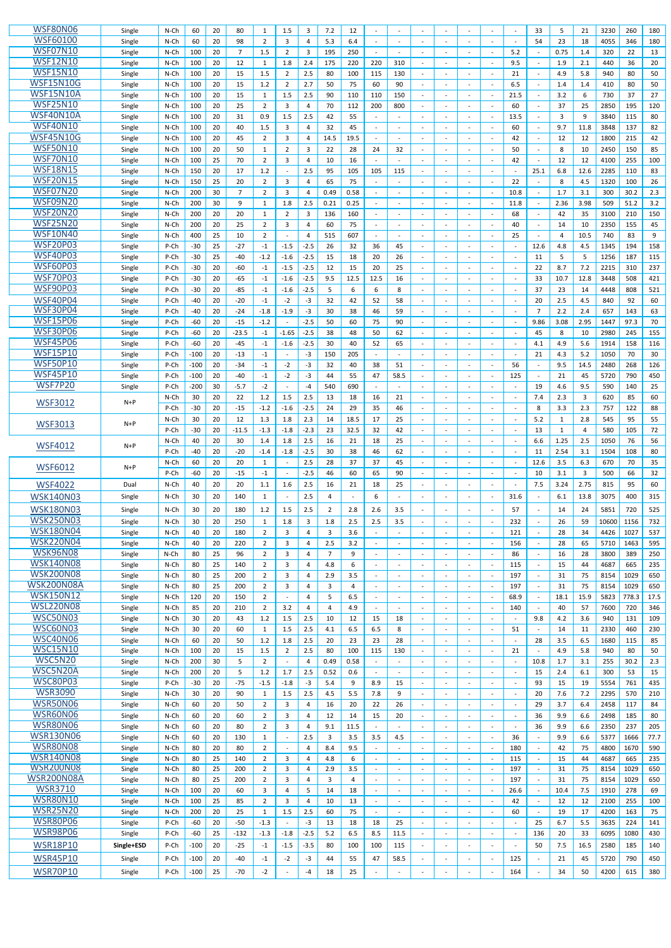| <b>WSF80N06</b>                      | Single           | $N$ -Ch      | 60             | 20       | 80             | 1              | 1.5              | 3                     | 7.2                   | 12             |                |                          |                          |        |                          |                          |                          | 33                          | 5        | 21        | 3230         | 260        | 180        |
|--------------------------------------|------------------|--------------|----------------|----------|----------------|----------------|------------------|-----------------------|-----------------------|----------------|----------------|--------------------------|--------------------------|--------|--------------------------|--------------------------|--------------------------|-----------------------------|----------|-----------|--------------|------------|------------|
| <b>WSF60100</b>                      | Single           | N-Ch         | 60             | 20       | 98             | $\overline{2}$ | 3                | $\overline{4}$        | 5.3                   | 6.4            |                | $\overline{\phantom{a}}$ | $\sim$                   |        |                          |                          |                          | 54                          | 23       | 18        | 4055         | 346        | 180        |
| <b>WSF07N10</b>                      | Single           | N-Ch         | 100            | 20       | $\overline{7}$ | 1.5            | 2                | 3                     | 195                   | 250            |                |                          | $\overline{\phantom{a}}$ |        | $\overline{\phantom{a}}$ | $\overline{\phantom{a}}$ | 5.2                      | $\sim$                      | 0.75     | 1.4       | 320          | 22         | 13         |
| <b>WSF12N10</b>                      | Single           | N-Ch         | 100            | 20       | 12             | 1              | 1.8              | 2.4                   | 175                   | 220            | 220            | 310                      | $\sim$                   |        | $\sim$                   |                          | 9.5                      | $\sim$                      | 1.9      | 2.1       | 440          | 36         | 20         |
| <b>WSF15N10</b>                      | Single           | N-Ch         | 100            | 20       | 15             | 1.5            | $\overline{2}$   | 2.5                   | 80                    | 100            | 115            | 130                      |                          |        |                          |                          | 21                       |                             | 4.9      | 5.8       | 940          | 80         | 50         |
| <b>WSF15N10G</b>                     | Single           | N-Ch         | 100            | 20       | 15             | 1.2            | $\overline{2}$   | 2.7                   | 50                    | 75             | 60             | 90                       | $\sim$                   |        |                          |                          | 6.5                      | $\sim$                      | 1.4      | 1.4       | 410          | 80         | 50         |
| WSF15N10A                            | Single           | N-Ch         | 100            | 20       | 15             | 1              | 1.5              | 2.5                   | 90                    | 110            | 110            | 150                      | $\overline{\phantom{a}}$ |        |                          |                          | 21.5                     | $\overline{\phantom{a}}$    | 3.2      | 6         | 730          | 37         | 27         |
| <b>WSF25N10</b>                      | Single           | N-Ch         | 100            | 20       | 25             | $\overline{2}$ | 3                | 4                     | 70                    | 112            | 200            | 800                      |                          |        |                          |                          | 60                       | $\sim$                      | 37       | 25        | 2850         | 195        | 120        |
| WSF40N10A                            | Single           | N-Ch         | 100            | 20       | 31             | 0.9            | 1.5              | 2.5                   | 42                    | 55             |                |                          |                          |        |                          |                          | 13.5                     | $\overline{\phantom{a}}$    | 3        | 9         | 3840         | 115        | 80         |
| <b>WSF40N10</b>                      | Single           | N-Ch         | 100            | 20       | 40             | 1.5            | 3                | 4                     | 32                    | 45             |                |                          |                          |        |                          |                          | 60                       | $\sim$                      | 9.7      | 11.8      | 3848         | 137        | 82         |
| <b>WSF45N10G</b>                     | Single           | N-Ch         | 100            | 20       | 45             | $\overline{2}$ | 3                | 4                     | 14.5                  | 19.5           |                |                          | $\sim$                   |        | $\overline{\phantom{a}}$ | $\blacksquare$           | 42                       | $\blacksquare$              | 12       | 12        | 1800         | 215        | 42         |
| <b>WSF50N10</b>                      | Single           | N-Ch         | 100            | 20       | 50             | 1              | $\overline{2}$   | 3                     | 22                    | 28             | 24             | 32                       |                          |        |                          |                          | 50                       | $\sim$                      | 8        | 10        | 2450         | 150        | 85         |
| <b>WSF70N10</b>                      | Single           | N-Ch         | 100            | 25       | 70             | $\overline{2}$ | 3                | 4                     | 10                    | 16             |                |                          | $\blacksquare$           |        |                          | $\overline{\phantom{a}}$ | 42                       | $\mathcal{L}_{\mathcal{A}}$ | 12       | 12        | 4100         | 255        | 100        |
| <b>WSF18N15</b>                      | Single           | $N$ -Ch      | 150            | 20       | 17             | 1.2            |                  | 2.5                   | 95                    | 105            | 105            | 115                      |                          |        |                          |                          |                          | 25.1                        | 6.8      | 12.6      | 2285         | 110        | 83         |
| <b>WSF20N15</b>                      | Single           | N-Ch         | 150            | 25       | 20             | $\overline{2}$ | 3                | 4                     | 65                    | 75             |                |                          | $\overline{\phantom{a}}$ |        | $\overline{\phantom{a}}$ |                          | 22                       | $\sim$                      | 8        | 4.5       | 1320         | 100        | 26         |
| <b>WSF07N20</b>                      | Single           | N-Ch         | 200            | 30       | $\overline{7}$ | $\overline{2}$ | 3                | 4                     | 0.49                  | 0.58           |                |                          |                          |        |                          |                          | 10.8                     | $\sim$                      | 1.7      | 3.1       | 300          | 30.2       | 2.3        |
| WSF09N20<br><b>WSF20N20</b>          | Single           | N-Ch         | 200            | 30       | 9              | 1              | 1.8              | 2.5                   | 0.21                  | 0.25           |                |                          | $\blacksquare$           |        |                          |                          | 11.8                     | $\sim$                      | 2.36     | 3.98      | 509          | 51.2       | 3.2        |
| <b>WSF25N20</b>                      | Single           | $N$ -Ch      | 200            | 20       | 20             | 1              | $\overline{2}$   | 3                     | 136                   | 160            |                |                          |                          |        |                          |                          | 68                       | $\sim$                      | 42       | 35        | 3100         | 210        | 150        |
| <b>WSF10N40</b>                      | Single           | N-Ch         | 200            | 20       | 25             | $\overline{2}$ | 3                | 4                     | 60                    | 75             |                |                          | $\blacksquare$           |        | $\overline{\phantom{a}}$ | $\blacksquare$           | 40                       | $\blacksquare$              | 14       | 10        | 2350         | 155        | 45         |
| <b>WSF20P03</b>                      | Single           | N-Ch         | 400            | 25       | 10             | 2              |                  | 4                     | 515                   | 607            |                |                          |                          |        |                          |                          | 25                       |                             | Δ        | 10.5      | 740          | 83         | 9          |
| <b>WSF40P03</b>                      | Single           | P-Ch         | $-30$          | 25       | $-27$          | $-1$           | $-1.5$           | $-2.5$                | 26                    | 32             | 36             | 45                       | $\blacksquare$           |        | $\blacksquare$           | $\sim$                   | $\overline{\phantom{a}}$ | 12.6                        | 4.8<br>5 | 4.5       | 1345         | 194        | 158        |
| <b>WSF60P03</b>                      | Single           | P-Ch<br>P-Ch | $-30$<br>$-30$ | 25<br>20 | $-40$<br>$-60$ | $-1.2$<br>$-1$ | $-1.6$<br>$-1.5$ | $-2.5$<br>$-2.5$      | 15<br>12              | 18<br>15       | 20<br>20       | 26<br>25                 | $\blacksquare$           |        | $\overline{\phantom{a}}$ | $\overline{\phantom{a}}$ | $\overline{\phantom{a}}$ | 11<br>22                    | 8.7      | -5<br>7.2 | 1256<br>2215 | 187<br>310 | 115<br>237 |
| <b>WSF70P03</b>                      | Single<br>Single | P-Ch         | $-30$          | 20       | $-65$          | $-1$           | $-1.6$           | $-2.5$                | 9.5                   | 12.5           | 12.5           | 16                       |                          |        |                          |                          |                          | 33                          | 10.7     | 12.8      | 3448         | 508        | 421        |
| <b>WSF90P03</b>                      | Single           | P-Ch         | $-30$          | 20       | $-85$          | $-1$           | $-1.6$           | $-2.5$                | 5                     | 6              | 6              | 8                        | $\blacksquare$           |        | $\overline{\phantom{a}}$ | $\sim$                   |                          | 37                          | 23       | 14        | 4448         | 808        | 521        |
| <b>WSF40P04</b>                      | Single           | P-Ch         | $-40$          | 20       | $-20$          | $-1$           | $-2$             | $-3$                  | 32                    | 42             | 52             | 58                       | $\blacksquare$           |        | $\overline{\phantom{a}}$ | $\overline{\phantom{a}}$ |                          | 20                          | 2.5      | 4.5       | 840          | 92         | 60         |
| <b>WSF30P04</b>                      | Single           | P-Ch         | $-40$          | 20       | $-24$          | $-1.8$         | $-1.9$           | $-3$                  | 30                    | 38             | 46             | 59                       | $\sim$                   |        | $\blacksquare$           | $\overline{\phantom{a}}$ |                          | $\overline{7}$              | 2.2      | 2.4       | 657          | 143        | 63         |
| <b>WSF15P06</b>                      | Single           | P-Ch         | $-60$          | 20       | $-15$          | $-1.2$         |                  | $-2.5$                | 50                    | 60             | 75             | 90                       |                          |        |                          |                          |                          | 9.86                        | 3.08     | 2.95      | 1447         | 97.3       | 70         |
| <b>WSF30P06</b>                      | Single           | P-Ch         | $-60$          | 20       | $-23.5$        | $-1$           | $-1.65$          | $-2.5$                | 38                    | 48             | 50             | 62                       | $\blacksquare$           |        |                          |                          |                          | 45                          | 8        | 10        | 2980         | 245        | 155        |
| <b>WSF45P06</b>                      | Single           | P-Ch         | $-60$          | 20       | $-45$          | $-1$           | $-1.6$           | $-2.5$                | 30                    | 40             | 52             | 65                       | $\overline{\phantom{a}}$ |        |                          |                          |                          | 4.1                         | 4.9      | 5.6       | 1914         | 158        | 116        |
| <b>WSF15P10</b>                      | Single           | P-Ch         | $-100$         | 20       | -13            | $-1$           |                  | $-3$                  | 150                   | 205            |                |                          | $\overline{a}$           |        |                          |                          |                          | 21                          | 4.3      | 5.2       | 1050         | 70         | 30         |
| <b>WSF50P10</b>                      | Single           | P-Ch         | $-100$         | 20       | $-34$          | $-1$           | $-2$             | -3                    | 32                    | 40             | 38             | 51                       |                          |        |                          |                          | 56                       |                             | 9.5      | 14.5      | 2480         | 268        | 126        |
| <b>WSF45P10</b>                      | Single           | P-Ch         | $-100$         | 20       | -4∩            | $-1$           | $-2$             | $-3$                  | ΔΔ                    | 55             | 47             | 58.5                     |                          |        |                          |                          | 125                      |                             | 21       | 45        | 5720         | 790        | 450        |
| <b>WSF7P20</b>                       | Single           | P-Ch         | $-200$         | 30       | $-5.7$         | $-2$           |                  | $-4$                  | 540                   | 690            |                |                          |                          |        |                          |                          |                          | 19                          | 4.6      | 9.5       | 590          | 140        | 25         |
|                                      |                  | N-Ch         | 30             | 20       | 22             | 1.2            | 1.5              | 2.5                   | 13                    | 18             | 16             | 21                       |                          |        |                          |                          |                          | 7.4                         | 2.3      | 3         | 620          | 85         | 60         |
| <b>WSF3012</b>                       | $N+P$            | P-Ch         | $-30$          | 20       | $-15$          | $-1.2$         | $-1.6$           | $-2.5$                | 24                    | 29             | 35             | 46                       | $\overline{\phantom{a}}$ |        |                          |                          |                          | 8                           | 3.3      | 2.3       | 757          | 122        | 88         |
|                                      |                  | N-Ch         | 30             | 20       | 12             | 1.3            | 1.8              | 2.3                   | 14                    | 18.5           | 17             | 25                       | $\overline{\phantom{a}}$ |        |                          |                          |                          | 5.2                         | 1        | 2.8       | 545          | 95         | 55         |
| <b>WSF3013</b>                       | $N+P$            | P-Ch         | $-30$          | 20       | $-11.5$        | $-1.3$         | $-1.8$           | $-2.3$                | 23                    | 32.5           | 32             | 42                       | $\omega$                 |        | $\overline{\phantom{a}}$ | $\sim$                   | $\overline{\phantom{a}}$ | 13                          | 1        | 4         | 580          | 105        | 72         |
|                                      |                  | N-Ch         | 40             | 20       | 30             | 1.4            | 1.8              | 2.5                   | 16                    | 21             | 18             | 25                       | $\sim$                   |        |                          |                          |                          | 6.6                         | 1.25     | 2.5       | 1050         | 76         | 56         |
| <b>WSF4012</b>                       | $N+P$            | P-Ch         | $-40$          | 20       | $-20$          | $-1.4$         | $-1.8$           | $-2.5$                | 30                    | 38             | 46             | 62                       | $\overline{\phantom{a}}$ |        |                          |                          |                          | 11                          | 2.54     | 3.1       | 1504         | 108        | 80         |
|                                      |                  | N-Ch         | 60             | 20       | 20             | 1              |                  | 2.5                   | 28                    | 37             | 37             | 45                       | $\blacksquare$           |        |                          |                          |                          | 12.6                        | 3.5      | 6.3       | 670          | 70         | 35         |
| <b>WSF6012</b>                       | $N+P$            | P-Ch         | $-60$          | 20       | -15            | $-1$           |                  | $-2.5$                | 46                    | 60             | 65             | 90                       | $\sim$                   |        |                          |                          |                          | 10                          | 3.1      | 3         | 500          | 66         | 32         |
| <b>WSF4022</b>                       | Dual             | N-Ch         | 40             | 20       | 20             | 1.1            | 1.6              | $2.5$                 | 16                    | 21             | 18             | 25                       |                          |        |                          |                          |                          | 7.5                         | 3.24     | 2.75      | 815          | 95         | 60         |
| WSK140N03                            | Single           | N-Ch         | 30             | 20       | 140            | 1              |                  | 2.5                   | $\overline{4}$        | $\blacksquare$ | 6              |                          | $\sim$                   |        | $\overline{\phantom{a}}$ |                          | 31.6                     | $\blacksquare$              | 6.1      | 13.8      | 3075         | 400        | 315        |
| <b>WSK180N03</b>                     | Single           | N-Ch         | 30             | 20       | 180            | 1.2            | 1.5              | 2.5                   | $\overline{2}$        | 2.8            | 2.6            | 3.5                      |                          |        |                          |                          | 57                       | $\sim$                      | 14       | 24        | 5851         | 720        | 525        |
| <b>WSK250N03</b>                     | Single           | N-Ch         | 30             | 20       | 250            | 1              | 1.8              | 3                     | 1.8                   | 2.5            | 2.5            | 3.5                      |                          |        |                          |                          | 232                      | $\sim$                      | 26       | 59        | 10600        | 1156       | 732        |
| <b>WSK180N04</b>                     | Single           | N-Ch         | 40             | 20       | 180            | $\overline{2}$ | 3                | 4                     | 3                     | 3.6            |                |                          |                          |        |                          |                          | 121                      |                             | 28       | 34        | 4426         | 1027       | 537        |
| <b>WSK220N04</b>                     | Single           | N-Ch         | 40             | 20       | 220            | $\overline{2}$ | 3                | 4                     | 2.5                   | 3.2            |                |                          |                          |        |                          |                          | 156                      | $\sim$                      | 28       | 65        | 5710         | 1463       | 595        |
| WSK96N08                             | Single           | N-Ch         | 80             | 25       | 96             | $\overline{2}$ | 3                | 4                     | $\overline{7}$        | 9              |                |                          | $\blacksquare$           |        | $\overline{\phantom{a}}$ |                          | 86                       | $\sim$                      | 16       | 28        | 3800         | 389        | 250        |
| <b>WSK140N08</b>                     | Single           | N-Ch         | 80             | 25       | 140            | $\overline{2}$ | 3                | $\overline{4}$        | 4.8                   | 6              |                |                          | $\sim$                   |        |                          |                          | 115                      | $\sim$                      | 15       | 44        | 4687         | 665        | 235        |
| <b>WSK200N08</b>                     | Single           | $N$ -Ch      | 80             | 25       | 200            | $\overline{2}$ | 3                | 4                     | 2.9                   | 3.5            |                |                          |                          |        |                          |                          | 197                      | $\mathbb{L}$                | 31       | 75        | 8154         | 1029       | 650        |
| WSK200N08A                           | Single           | N-Ch         | 80             | 25       | 200            | $\overline{2}$ | 3                | $\overline{4}$        | 3                     | 4              |                |                          |                          |        |                          |                          | 197                      | $\omega$                    | 31       | 75        | 8154         | 1029       | 650        |
| <b>WSK150N12</b>                     | Single           | N-Ch         | 120            | 20       | 150            | $\overline{2}$ |                  | 4                     | 5                     | 6.5            |                |                          | $\blacksquare$           |        | $\overline{\phantom{a}}$ |                          | 68.9                     | $\mathbb{L}$                | 18.1     | 15.9      | 5823         | 778.3      | 17.5       |
| <b>WSL220N08</b>                     | Single           | N-Ch         | 85             | 20       | 210            | $\overline{2}$ | 3.2              | 4                     | $\boldsymbol{\Delta}$ | 4.9            |                |                          | $\sim$                   |        |                          |                          | 140                      | $\sim$                      | 40       | 57        | 7600         | 720        | 346        |
| <b>WSC50N03</b>                      | Single           | N-Ch         | 30             | 20       | 43             | 1.2            | 1.5              | 2.5                   | 10                    | 12             | 15             | 18                       | $\blacksquare$           |        |                          |                          |                          | 9.8                         | 4.2      | 3.6       | 940          | 131        | 109        |
| <b>WSC60N03</b>                      | Single           | N-Ch         | 30             | 20       | 60             | 1              | 1.5              | 2.5                   | 4.1                   | 6.5            | 6.5            | 8                        | $\sim$                   |        |                          |                          | 51                       | $\sim$                      | 14       | 11        | 2330         | 460        | 230        |
| <b>WSC40N06</b>                      | Single           | N-Ch         | 60             | 20       | 50             | 1.2            | 1.8              | 2.5                   | 20                    | 23             | 23             | 28                       | $\sim$                   |        | $\overline{\phantom{a}}$ | $\blacksquare$           |                          | 28                          | 3.5      | 6.5       | 1680         | 115        | 85         |
| <b>WSC15N10</b>                      | Single           | N-Ch         | 100            | 20       | 15             | 1.5            | $\overline{2}$   | 2.5                   | 80                    | 100            | 115            | 130                      | $\blacksquare$           |        |                          |                          | 21                       | $\sim$                      | 4.9      | 5.8       | 940          | 80         | 50         |
| <b>WSC5N20</b>                       | Single           | N-Ch         | 200            | 30       | 5              | $\overline{2}$ |                  | 4                     | 0.49                  | 0.58           |                |                          |                          |        |                          |                          |                          | 10.8                        | 1.7      | 3.1       | 255          | 30.2       | 2.3        |
| WSC5N20A                             | Single           | N-Ch         | 200            | 20       | 5              | 1.2            | 1.7              | 2.5                   | 0.52                  | 0.6            |                |                          | $\overline{\phantom{a}}$ |        |                          |                          |                          | 15                          | 2.4      | 6.1       | 300          | 53         | 15         |
| <b>WSC80P03</b>                      | Single           | P-Ch         | $-30$          | 20       | $-75$          | $-1.5$         | $-1.8$           | $-3$                  | 5.4                   | 9              | 8.9            | 15                       | $\sim$                   |        |                          |                          |                          | 93                          | 15       | 19        | 5554         | 761        | 435        |
| <b>WSR3090</b>                       | Single           | $N$ -Ch      | 30             | 20       | 90             | $\mathbf{1}$   | 1.5              | 2.5                   | 4.5                   | 5.5            | 7.8            | 9                        |                          |        |                          |                          |                          | 20                          | 7.6      | 7.2       | 2295         | 570        | 210        |
| WSR50N06                             | Single           | N-Ch         | 60             | 20       | 50             | $\overline{2}$ | 3                | 4                     | 16                    | 20             | 22             | 26                       | $\overline{\phantom{a}}$ |        |                          |                          |                          | 29                          | 3.7      | 6.4       | 2458         | 117        | 84         |
| WSR60N06                             | Single           | N-Ch         | 60             | 20       | 60             | $\overline{2}$ | 3                | 4                     | 12                    | 14             | 15             | 20                       |                          |        |                          |                          |                          | 36                          | 9.9      | 6.6       | 2498         | 185        | 80         |
| WSR80N06                             | Single           | N-Ch         | 60             | 20       | 80             | $\overline{2}$ | 3                | 4                     | 9.1                   | 11.5           |                |                          | $\blacksquare$           |        | $\sim$                   |                          |                          | 36                          | 9.9      | 6.6       | 2350         | 237        | 205        |
| <b>WSR130N06</b>                     | Single           | N-Ch         | 60             | 20       | 130            | 1              |                  | $2.5\,$               | 3                     | 3.5            | 3.5            | 4.5                      | $\overline{\phantom{a}}$ |        | $\overline{\phantom{a}}$ | $\overline{\phantom{a}}$ | 36                       |                             | 9.9      | 6.6       | 5377         | 1666       | 77.7       |
| <b>WSR80N08</b>                      | Single           | N-Ch         | 80             | 20       | 80             | $\overline{2}$ |                  | $\overline{4}$        | 8.4                   | 9.5            |                |                          | $\omega$                 |        | $\sim$                   |                          | 180                      |                             | 42       | 75        | 4800         | 1670       | 590        |
| <b>WSR140N08</b><br><b>WSR200N08</b> | Single           | N-Ch         | 80             | 25       | 140            | $\overline{2}$ | 3                | $\overline{4}$        | 4.8                   | 6              | $\blacksquare$ |                          |                          |        |                          |                          | 115                      | $\omega$                    | 15       | 44        | 4687         | 665        | 235        |
| <b>WSR200N08A</b>                    | Single           | N-Ch         | 80             | 25       | 200            | $\overline{2}$ | 3                | $\overline{4}$        | 2.9                   | 3.5            |                |                          | $\blacksquare$           |        | $\overline{\phantom{a}}$ |                          | 197                      | $\sim$                      | 31       | 75        | 8154         | 1029       | 650        |
| <b>WSR3710</b>                       | Single           | N-Ch         | 80             | 25       | 200            | $\overline{2}$ | 3                | $\overline{4}$        | 3                     | 4              |                |                          | $\sim$                   |        | ÷.                       |                          | 197                      | $\sim$                      | 31       | 75        | 8154         | 1029       | 650        |
| <b>WSR80N10</b>                      | Single           | N-Ch         | 100            | 20       | 60             | 3              | 4                | 5                     | 14                    | 18             |                |                          |                          |        | $\overline{\phantom{a}}$ |                          | 26.6                     | $\sim$                      | 10.4     | 7.5       | 1910         | 278        | 69         |
| <b>WSR25N20</b>                      | Single           | $N$ -Ch      | 100<br>200     | 25       | 85             | $\overline{2}$ | 3<br>1.5         | $\overline{4}$<br>2.5 | 10                    | 13<br>75       | $\blacksquare$ |                          | $\blacksquare$           |        | $\overline{a}$           |                          | 42<br>60                 | $\blacksquare$              | 12<br>19 | 12        | 2100<br>4200 | 255<br>163 | 100<br>75  |
| <b>WSR80P06</b>                      | Single           | N-Ch         |                | 20       | 25<br>$-50$    | 1<br>$-1.3$    |                  | $-3$                  | 60<br>13              | 18             | 18             | 25                       |                          |        |                          |                          |                          | $\sim$<br>25                | 6.7      | 17<br>5.5 | 3635         | 224        | 141        |
|                                      |                  |              |                |          |                |                |                  |                       |                       |                |                |                          |                          |        |                          |                          |                          |                             |          |           |              |            |            |
|                                      | Single           | P-Ch         | $-60$          | 20       |                |                |                  |                       |                       |                |                |                          |                          |        |                          |                          |                          |                             |          |           |              |            |            |
| <b>WSR98P06</b>                      | Single           | P-Ch         | $-60$          | 25       | $-132$         | $-1.3$         | $-1.8$           | $-2.5$                | $5.2$                 | 6.5            | 8.5            | 11.5                     | $\sim$                   | $\sim$ | $\sim$                   | $\blacksquare$           | $\overline{\phantom{a}}$ | 136                         | 20       | 33        | 6095         | 1080       | 430        |
| <b>WSR18P10</b>                      | Single+ESD       | P-Ch         | $-100$         | 20       | $-25$          | $-1$           | $-1.5$           | $-3.5$                | 80                    | 100            | 100            | 115                      | $\blacksquare$           |        |                          |                          |                          | 50                          | 7.5      | 16.5      | 2580         | 185        | 140        |
| <b>WSR45P10</b>                      | Single           | P-Ch         | $-100$         | 20       | $-40$          | $-1$           | $-2$             | $-3$                  | 44                    | 55             | 47             | 58.5                     | $\overline{\phantom{a}}$ |        | $\overline{\phantom{a}}$ |                          | 125                      | $\blacksquare$              | 21       | 45        | 5720         | 790        | 450        |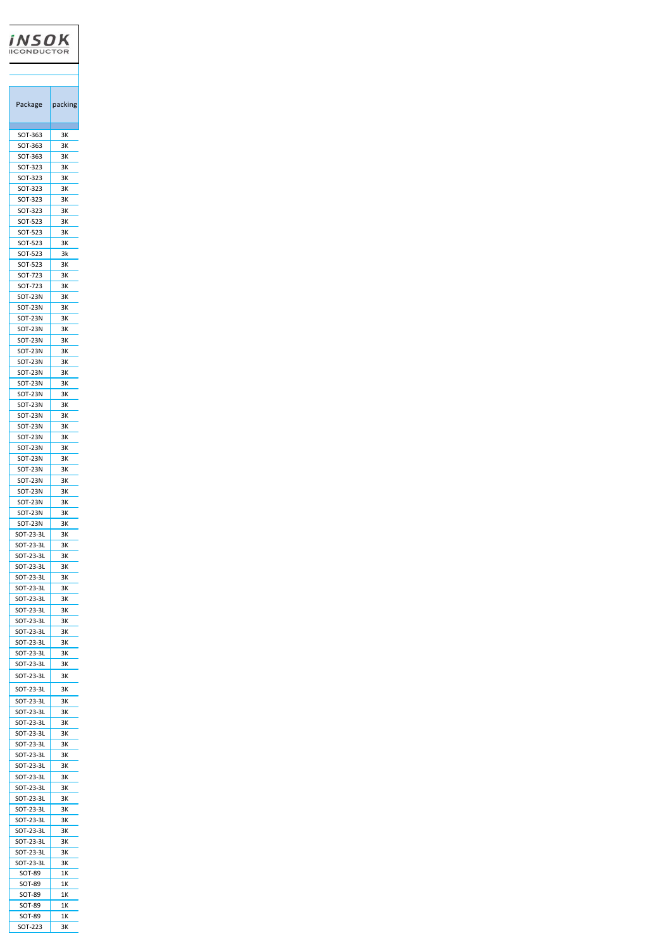| iNSOK<br><b>QUCT</b>      |          |
|---------------------------|----------|
|                           |          |
|                           |          |
| Package                   | packing  |
| SOT-363                   | зк       |
| SOT-363                   | ЗΚ       |
| SOT-363<br>SOT-323        | ЗΚ<br>ЗΚ |
| SOT-323                   | 3К       |
| SOT-323                   | 3К       |
| SOT-323<br>SOT-323        | ЗΚ<br>ЗΚ |
| SOT-523                   | 3К       |
| SOT-523                   | ЗΚ       |
| SOT-523<br>SOT-523        | ЗΚ<br>3k |
| SOT-523                   | 3К       |
| SOT-723                   | ЗΚ       |
| SOT-723<br>SOT-23N        | ЗΚ<br>3К |
| SOT-23N                   | 3К       |
| <b>SOT-23N</b>            | ЗΚ       |
| SOT-23N<br>SOT-23N        | 3К<br>зк |
| SOT-23N                   | 3К       |
| SOT-23N                   | ЗΚ       |
| <b>SOT-23N</b><br>SOT-23N | зκ<br>зк |
| SOT-23N                   | зк       |
| SOT-23N                   | 3К       |
| SOT-23N<br>SOT-23N        | 3К<br>3К |
| SOT-23N                   | зк       |
| SOT-23N                   | 3К       |
| SOT-23N                   | 3К<br>3К |
| SOT-23N<br>SOT-23N        | 3К       |
| SOT-23N                   | ЗK       |
| SOT-23N<br>SOT-23N        | ЗΚ<br>3К |
| SOT-23N                   | 3К       |
| SOT-23-3L                 | ЗΚ       |
| SOT-23-3L<br>SOT-23-3L    | 3К<br>3К |
| SOT-23-3L                 | 3К       |
| SOT-23-3L                 | 3К       |
| SOT-23-3L                 | зк       |
| SOT-23-3L<br>SOT-23-3L    | зк<br>ЗΚ |
| SOT-23-3L                 | зк       |
| SOT-23-3L                 | зк       |
| SOT-23-3L<br>SOT-23-3L    | зк<br>зк |
| SOT-23-3L                 | зк       |
| SOT-23-3L                 | зк       |
| SOT-23-3L                 | зк       |
| SOT-23-3L<br>SOT-23-3L    | ЗK<br>зк |
| SOT-23-3L                 | 3K       |
| SOT-23-3L                 | 3K       |
| SOT-23-3L<br>SOT-23-3L    | ЗΚ<br>3К |
| SOT-23-3L                 | зк       |
| SOT-23-3L                 | 3К       |
| SOT-23-3L<br>SOT-23-3L    | 3К<br>3К |
| SOT-23-3L                 | 3К       |
| SOT-23-3L                 | 3К       |
| SOT-23-3L<br>SOT-23-3L    | зк<br>зк |
| SOT-23-3L                 | зк       |
| SOT-23-3L                 | ЗΚ       |
| SOT-89<br>SOT-89          | 1Κ<br>1Κ |
| SOT-89                    | 1Κ       |
| SOT-89                    | 1Κ       |
| SOT-89<br>SOT-223         | 1Κ<br>ЗΚ |
|                           |          |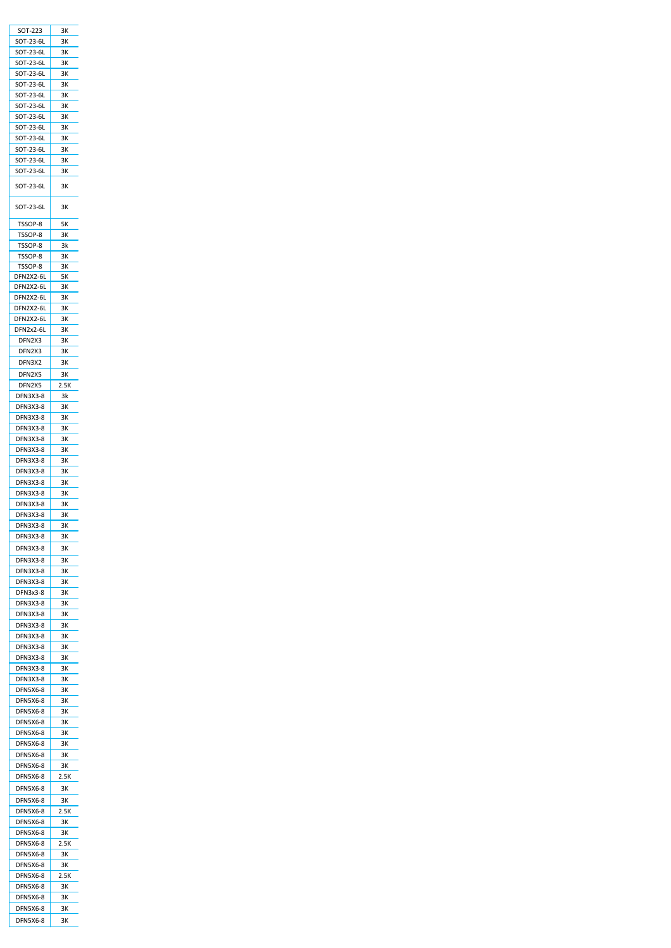| SOT-223         | ЗΚ   |
|-----------------|------|
| SOT-23-6L       | 3К   |
|                 |      |
| SOT-23-6L       | ЗΚ   |
| SOT-23-6L       | 3К   |
|                 |      |
| SOT-23-6L       | 3К   |
| SOT-23-6L       | 3К   |
|                 |      |
| SOT-23-6L       | ЗΚ   |
| SOT-23-6L       | 3К   |
|                 |      |
| SOT-23-6L       | 3К   |
| SOT-23-6L       | ЗΚ   |
|                 |      |
| SOT-23-6L       | зк   |
| SOT-23-6L       | зк   |
|                 |      |
| SOT-23-6L       | зк   |
|                 |      |
| SOT-23-6L       | ЗΚ   |
|                 |      |
| SOT-23-6L       | ЗΚ   |
|                 |      |
|                 |      |
| SOT-23-6L       | зк   |
|                 |      |
| TSSOP-8         | 5Κ   |
|                 |      |
| TSSOP-8         | 3К   |
| TSSOP-8         | 3k   |
|                 |      |
| TSSOP-8         | 3К   |
| TSSOP-8         | 3К   |
|                 |      |
| DFN2X2-6L       | 5Κ   |
| DFN2X2-6L       | зк   |
|                 |      |
| DFN2X2-6L       | 3К   |
|                 |      |
| DFN2X2-6L       | ЗΚ   |
| DFN2X2-6L       | ЗΚ   |
|                 |      |
| DFN2x2-6L       | ЗΚ   |
| DFN2X3          | 3К   |
|                 |      |
| DFN2X3          | 3К   |
|                 |      |
| DFN3X2          | ЗΚ   |
| DFN2X5          | 3К   |
|                 |      |
| DFN2X5          | 2.5K |
| <b>DFN3X3-8</b> |      |
|                 | 3k   |
| <b>DFN3X3-8</b> | 3К   |
|                 |      |
| DFN3X3-8        | зк   |
| DFN3X3-8        | ЗΚ   |
|                 |      |
| DFN3X3-8        | 3К   |
| DFN3X3-8        | зк   |
|                 |      |
| DFN3X3-8        | зк   |
| DFN3X3-8        | 3K   |
|                 |      |
| DFN3X3-8        | 3К   |
|                 |      |
| DFN3X3-8        | зк   |
| DFN3X3-8        | зк   |
|                 |      |
|                 |      |
| DFN3X3-8        | ЗΚ   |
| DFN3X3-8        | зк   |
|                 |      |
| DFN3X3-8        | зк   |
|                 |      |
| DFN3X3-8        | 3К   |
| DFN3X3-8        | 3К   |
|                 |      |
| DFN3X3-8        | зк   |
|                 |      |
| DFN3X3-8        | ЗΚ   |
| DFN3x3-8        | 3К   |
|                 |      |
| DFN3X3-8        | 3К   |
| DFN3X3-8        | 3К   |
|                 |      |
| DFN3X3-8        | ЗΚ   |
|                 | 3К   |
| <b>DFN3X3-8</b> |      |
| DFN3X3-8        | зк   |
|                 |      |
| DFN3X3-8        | 3К   |
| DFN3X3-8        | ЗΚ   |
|                 |      |
| DFN3X3-8        | зк   |
|                 | зк   |
| DFN5X6-8        |      |
| DFN5X6-8        | зк   |
| DFN5X6-8        | зк   |
|                 |      |
| DFN5X6-8        | зк   |
|                 |      |
| DFN5X6-8        | зк   |
| DFN5X6-8        | 3К   |
|                 |      |
| <b>DFN5X6-8</b> | зк   |
| DFN5X6-8        | зк   |
|                 |      |
| DFN5X6-8        | 2.5K |
|                 |      |
| DFN5X6-8        | ЗΚ   |
| DFN5X6-8        | 3К   |
|                 |      |
| <b>DFN5X6-8</b> | 2.5K |
| DFN5X6-8        | 3К   |
|                 |      |
| DFN5X6-8        | зк   |
| DFN5X6-8        |      |
|                 | 2.5K |
| DFN5X6-8        | ЗΚ   |
|                 |      |
| DFN5X6-8        | 3К   |
| DFN5X6-8        | 2.5K |
|                 | 3К   |
| DFN5X6-8        |      |
| DFN5X6-8        | ЗΚ   |
| <b>DFN5X6-8</b> | зк   |
| <b>DFN5X6-8</b> | зк   |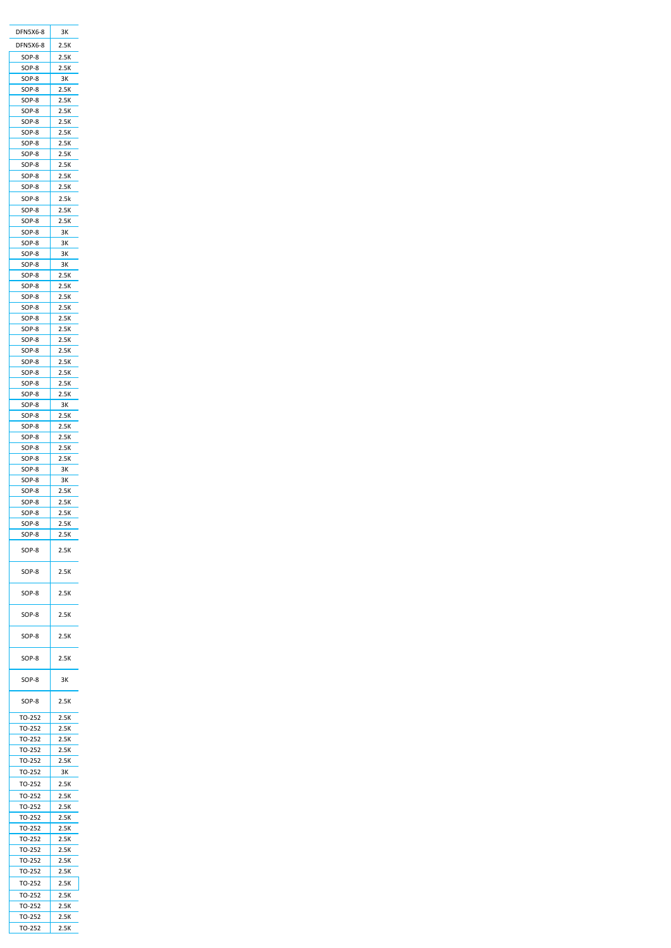| DFN5X6-8         | 3К           |
|------------------|--------------|
| DFN5X6-8         | 2.5K         |
| SOP-8            | 2.5K         |
| SOP-8            | 2.5K         |
| SOP-8<br>SOP-8   | зк<br>2.5K   |
| SOP-8            | 2.5K         |
| SOP-8            | 2.5K         |
| SOP-8            | 2.5K         |
| SOP-8            | 2.5K         |
| SOP-8            | 2.5K         |
| SOP-8<br>SOP-8   | 2.5K<br>2.5K |
| SOP-8            | 2.5K         |
| SOP-8            | 2.5K         |
| SOP-8            | 2.5k         |
| SOP-8            | 2.5K         |
| SOP-8            | 2.5K         |
| SOP-8            | 3К           |
| SOP-8<br>SOP-8   | ЗΚ<br>зк     |
| SOP-8            | ЗΚ           |
| SOP-8            | 2.5K         |
| SOP-8            | 2.5K         |
| SOP-8            | 2.5K         |
| SOP-8            | 2.5K         |
| SOP-8<br>SOP-8   | 2.5K<br>2.5K |
| SOP-8            | 2.5K         |
| SOP-8            | 2.5K         |
| SOP-8            | 2.5K         |
| SOP-8            | 2.5K         |
| SOP-8            | 2.5K         |
| SOP-8            | 2.5K         |
| SOP-8            | 3К           |
| SOP-8            | 2.5K         |
| SOP-8            | 2.5K         |
| SOP-8            | 2.5K         |
| SOP-8<br>SOP-8   | 2.5K<br>2.5K |
| SOP-8            | 3К           |
| SOP-8            | 3К           |
| SOP-8            | 2.5K         |
| SOP-8            | 2.5K         |
| SOP-8            | 2.5K         |
| SOP-8            | 2.5K         |
| SOP-8            | 2.5K         |
| SOP-8            | 2.5K         |
| SOP-8            | 2.5K         |
| SOP-8            | 2.5K         |
| SOP-8            | 2.5K         |
| SOP-8            | 2.5K         |
| SOP-8            | 2.5K         |
| SOP-8            | ЗΚ           |
| SOP-8            | 2.5K         |
| TO-252           | 2.5K         |
| TO-252<br>TO-252 | 2.5K         |
| TO-252           | 2.5K<br>2.5K |
| TO-252           | 2.5K         |
| TO-252           | 3К           |
| TO-252           | 2.5K         |
| TO-252           | 2.5K         |
| TO-252           | 2.5K         |
| TO-252           | 2.5K         |
| TO-252           | 2.5K         |
| TO-252           | 2.5K         |
| TO-252           | 2.5K         |
| TO-252           | 2.5K         |
|                  |              |
| TO-252           | 2.5K         |
| TO-252           | 2.5K         |
| TO-252           | 2.5K         |
| TO-252<br>TO-252 | 2.5K<br>2.5K |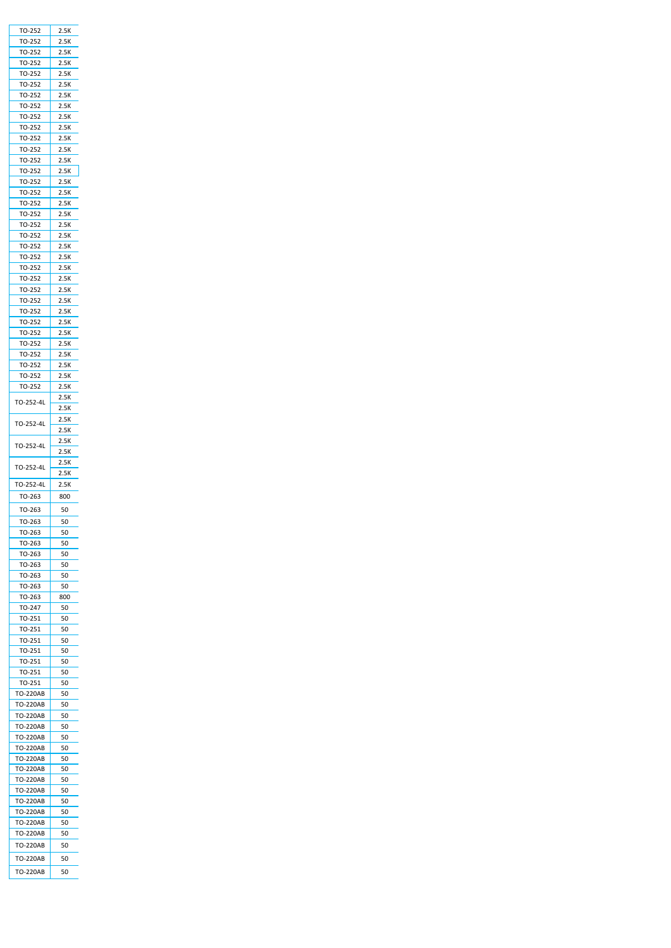| TO-252          | 2.5K |
|-----------------|------|
|                 | 2.5K |
| TO-252          |      |
| TO-252          | 2.5K |
| TO-252          | 2.5K |
| TO-252          | 2.5K |
| TO-252          | 2.5K |
| TO-252          | 2.5K |
|                 |      |
| TO-252          | 2.5K |
| TO-252          | 2.5K |
| TO-252          | 2.5K |
| TO-252          | 2.5K |
| TO-252          | 2.5K |
|                 |      |
| TO-252          | 2.5K |
| TO-252          | 2.5K |
| TO-252          | 2.5K |
| TO-252          | 2.5K |
| TO-252          | 2.5K |
| TO-252          | 2.5K |
|                 |      |
| TO-252          | 2.5K |
| TO-252          | 2.5K |
| TO-252          | 2.5K |
| TO-252          | 2.5K |
| TO-252          | 2.5K |
| TO-252          | 2.5K |
|                 |      |
| TO-252          | 2.5K |
| TO-252          | 2.5K |
| TO-252          | 2.5K |
| TO-252          | 2.5K |
| TO-252          | 2.5K |
|                 | 2.5K |
| TO-252          |      |
| TO-252          | 2.5K |
| TO-252          | 2.5K |
| TO-252          | 2.5K |
| TO-252          | 2.5K |
|                 | 2.5K |
| TO-252-4L       |      |
|                 | 2.5K |
| TO-252-4L       | 2.5K |
|                 | 2.5K |
|                 | 2.5K |
|                 |      |
| TO-252-4L       |      |
|                 | 2.5K |
| TO-252-4L       | 2.5K |
|                 | 2.5K |
| TO-252-4L       | 2.5K |
| TO-263          | 800  |
|                 |      |
| TO-263          | 50   |
| TO-263          | 50   |
| TO-263          | 50   |
|                 |      |
| TO-263          | 50   |
| TO-263          | 50   |
| TO-263          | 50   |
| TO-263          | 50   |
| TO-263          | 50   |
| ГО-263          | 800  |
|                 |      |
| TO-247          | 50   |
| TO-251          | 50   |
| TO-251          | 50   |
| TO-251          | 50   |
| TO-251          | 50   |
| TO-251          | 50   |
|                 |      |
| TO-251          | 50   |
| TO-251          | 50   |
| TO-220AB        | 50   |
| TO-220AB        | 50   |
| TO-220AB        | 50   |
| TO-220AB        | 50   |
| TO-220AB        | 50   |
|                 |      |
| TO-220AB        | 50   |
| TO-220AB        | 50   |
| TO-220AB        | 50   |
| TO-220AB        | 50   |
| TO-220AB        | 50   |
| <b>TO-220AB</b> | 50   |
|                 | 50   |
| TO-220AB        |      |
| TO-220AB        | 50   |
| TO-220AB        | 50   |
| TO-220AB        | 50   |
|                 |      |
| TO-220AB        | 50   |